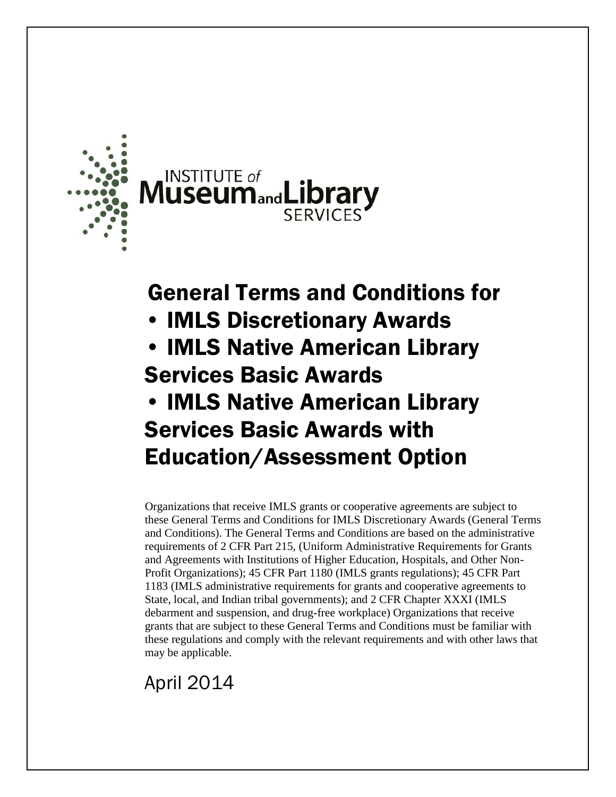



# General Terms and Conditions for

- IMLS Discretionary Awards
- IMLS Native American Library Services Basic Awards
- IMLS Native American Library Services Basic Awards with Education/Assessment Option

Organizations that receive IMLS grants or cooperative agreements are subject to these General Terms and Conditions for IMLS Discretionary Awards (General Terms and Conditions). The General Terms and Conditions are based on the administrative requirements of 2 CFR Part 215, (Uniform Administrative Requirements for Grants and Agreements with Institutions of Higher Education, Hospitals, and Other Non-Profit Organizations); 45 CFR Part 1180 (IMLS grants regulations); 45 CFR Part 1183 (IMLS administrative requirements for grants and cooperative agreements to State, local, and Indian tribal governments); and 2 CFR Chapter XXXI (IMLS debarment and suspension, and drug-free workplace) Organizations that receive grants that are subject to these General Terms and Conditions must be familiar with these regulations and comply with the relevant requirements and with other laws that may be applicable.

## April 2014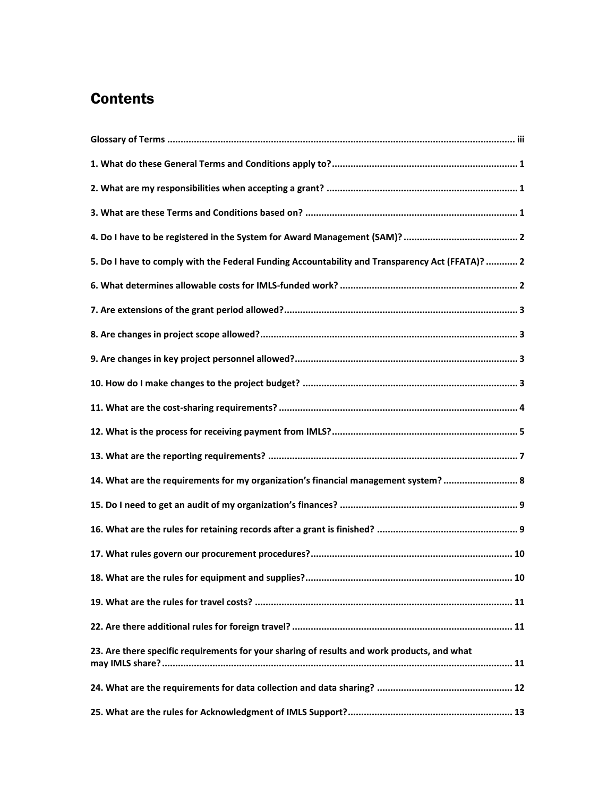### **Contents**

| 5. Do I have to comply with the Federal Funding Accountability and Transparency Act (FFATA)?  2 |
|-------------------------------------------------------------------------------------------------|
|                                                                                                 |
|                                                                                                 |
|                                                                                                 |
|                                                                                                 |
|                                                                                                 |
|                                                                                                 |
|                                                                                                 |
|                                                                                                 |
| 14. What are the requirements for my organization's financial management system?  8             |
|                                                                                                 |
|                                                                                                 |
|                                                                                                 |
|                                                                                                 |
|                                                                                                 |
|                                                                                                 |
| 23. Are there specific requirements for your sharing of results and work products, and what     |
|                                                                                                 |
|                                                                                                 |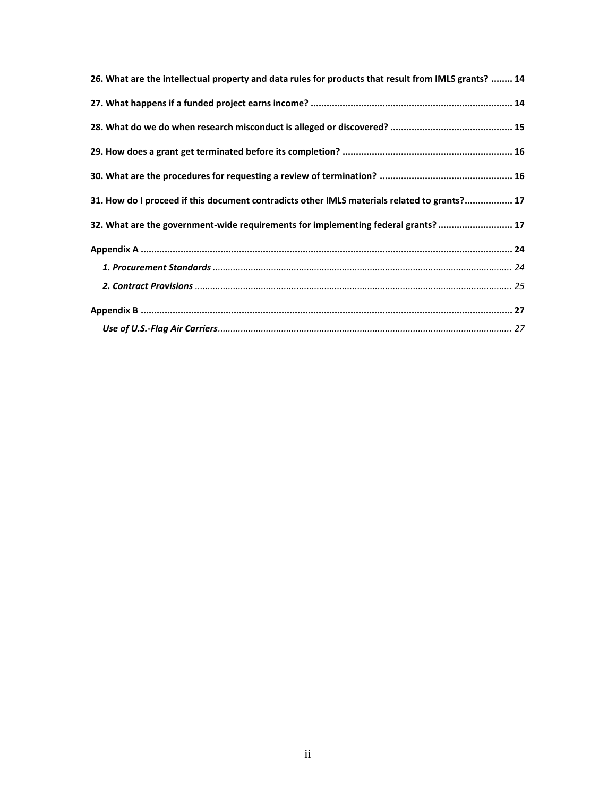| 26. What are the intellectual property and data rules for products that result from IMLS grants?  14 |
|------------------------------------------------------------------------------------------------------|
|                                                                                                      |
|                                                                                                      |
|                                                                                                      |
|                                                                                                      |
| 31. How do I proceed if this document contradicts other IMLS materials related to grants? 17         |
| 32. What are the government-wide requirements for implementing federal grants?  17                   |
|                                                                                                      |
|                                                                                                      |
|                                                                                                      |
|                                                                                                      |
|                                                                                                      |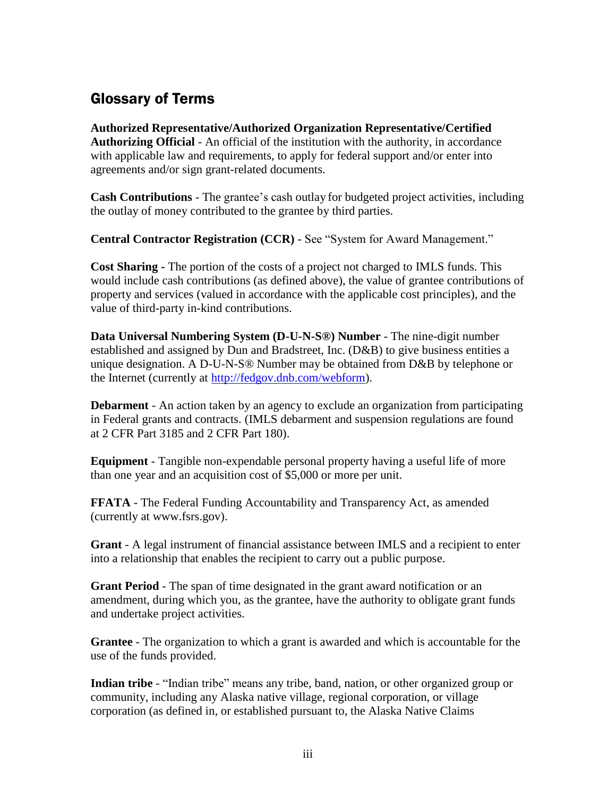### <span id="page-3-0"></span>Glossary of Terms

**Authorized Representative/Authorized Organization Representative/Certified Authorizing Official** - An official of the institution with the authority, in accordance with applicable law and requirements, to apply for federal support and/or enter into agreements and/or sign grant-related documents.

**Cash Contributions** - The grantee's cash outlay for budgeted project activities, including the outlay of money contributed to the grantee by third parties.

**Central Contractor Registration (CCR)** - See "System for Award Management."

**Cost Sharing -** The portion of the costs of a project not charged to IMLS funds. This would include cash contributions (as defined above), the value of grantee contributions of property and services (valued in accordance with the applicable cost principles), and the value of third-party in-kind contributions.

**Data Universal Numbering System (D-U-N-S®) Number** - The nine-digit number established and assigned by Dun and Bradstreet, Inc. (D&B) to give business entities a unique designation. A D-U-N-S® Number may be obtained from D&B by telephone or the Internet (currently at http://fedgov.dnb.com/webform).

**Debarment** - An action taken by an agency to exclude an organization from participating in Federal grants and contracts. (IMLS debarment and suspension regulations are found at 2 CFR Part 3185 and 2 CFR Part 180).

**Equipment** - Tangible non-expendable personal property having a useful life of more than one year and an acquisition cost of \$5,000 or more per unit.

**FFATA** - The Federal Funding Accountability and Transparency Act, as amended (currently at www.fsrs.gov).

**Grant** - A legal instrument of financial assistance between IMLS and a recipient to enter into a relationship that enables the recipient to carry out a public purpose.

**Grant Period** - The span of time designated in the grant award notification or an amendment, during which you, as the grantee, have the authority to obligate grant funds and undertake project activities.

**Grantee** - The organization to which a grant is awarded and which is accountable for the use of the funds provided.

**Indian tribe** - "Indian tribe" means any tribe, band, nation, or other organized group or community, including any Alaska native village, regional corporation, or village corporation (as defined in, or established pursuant to, the Alaska Native Claims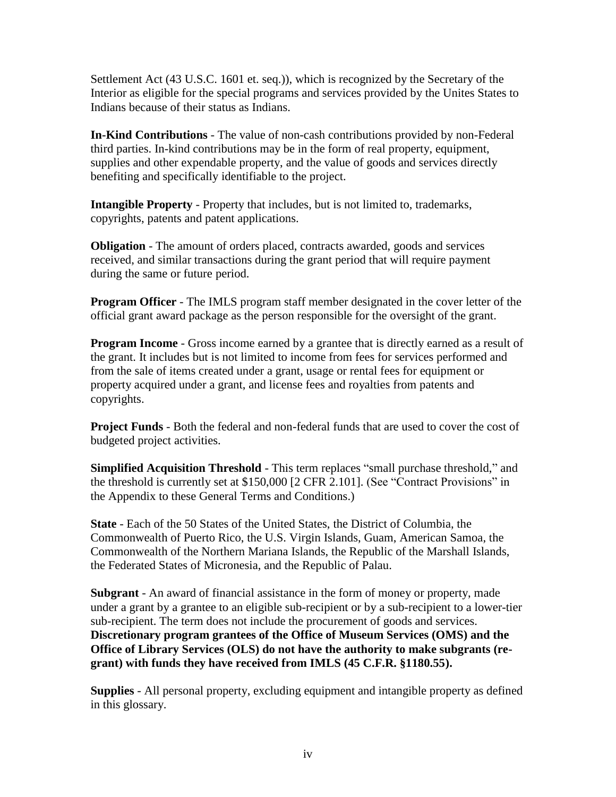Settlement Act (43 U.S.C. 1601 et. seq.)), which is recognized by the Secretary of the Interior as eligible for the special programs and services provided by the Unites States to Indians because of their status as Indians.

**In-Kind Contributions** - The value of non-cash contributions provided by non-Federal third parties. In-kind contributions may be in the form of real property, equipment, supplies and other expendable property, and the value of goods and services directly benefiting and specifically identifiable to the project.

**Intangible Property** - Property that includes, but is not limited to, trademarks, copyrights, patents and patent applications.

**Obligation** - The amount of orders placed, contracts awarded, goods and services received, and similar transactions during the grant period that will require payment during the same or future period.

**Program Officer** - The IMLS program staff member designated in the cover letter of the official grant award package as the person responsible for the oversight of the grant.

**Program Income** - Gross income earned by a grantee that is directly earned as a result of the grant. It includes but is not limited to income from fees for services performed and from the sale of items created under a grant, usage or rental fees for equipment or property acquired under a grant, and license fees and royalties from patents and copyrights.

**Project Funds** - Both the federal and non-federal funds that are used to cover the cost of budgeted project activities.

**Simplified Acquisition Threshold** - This term replaces "small purchase threshold," and the threshold is currently set at \$150,000 [2 CFR 2.101]. (See "Contract Provisions" in the Appendix to these General Terms and Conditions.)

**State** - Each of the 50 States of the United States, the District of Columbia, the Commonwealth of Puerto Rico, the U.S. Virgin Islands, Guam, American Samoa, the Commonwealth of the Northern Mariana Islands, the Republic of the Marshall Islands, the Federated States of Micronesia, and the Republic of Palau.

**Subgrant** - An award of financial assistance in the form of money or property, made under a grant by a grantee to an eligible sub-recipient or by a sub-recipient to a lower-tier sub-recipient. The term does not include the procurement of goods and services. **Discretionary program grantees of the Office of Museum Services (OMS) and the Office of Library Services (OLS) do not have the authority to make subgrants (regrant) with funds they have received from IMLS (45 C.F.R. §1180.55).**

**Supplies** - All personal property, excluding equipment and intangible property as defined in this glossary.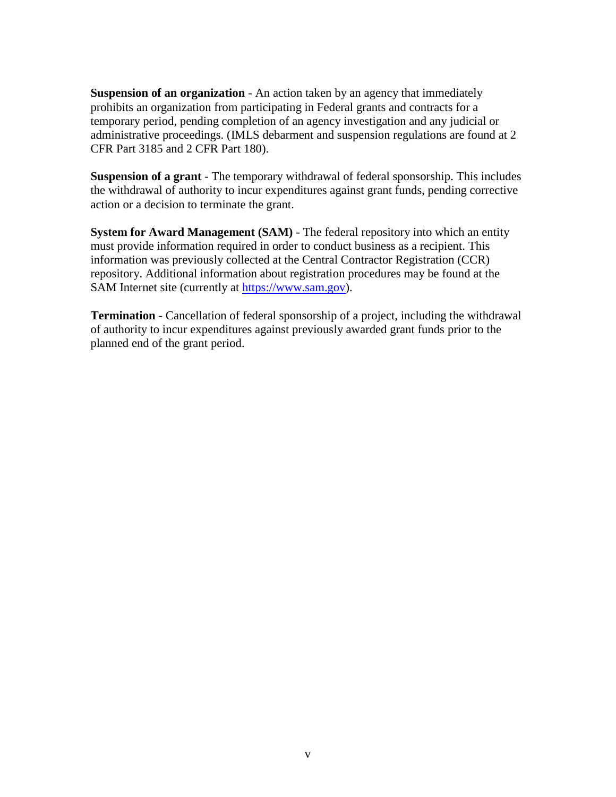**Suspension of an organization** - An action taken by an agency that immediately prohibits an organization from participating in Federal grants and contracts for a temporary period, pending completion of an agency investigation and any judicial or administrative proceedings. (IMLS debarment and suspension regulations are found at 2 CFR Part 3185 and 2 CFR Part 180).

**Suspension of a grant** - The temporary withdrawal of federal sponsorship. This includes the withdrawal of authority to incur expenditures against grant funds, pending corrective action or a decision to terminate the grant.

**System for Award Management (SAM)** - The federal repository into which an entity must provide information required in order to conduct business as a recipient. This information was previously collected at the Central Contractor Registration (CCR) repository. Additional information about registration procedures may be found at the SAM Internet site (currently at https://www.sam.gov).

**Termination** - Cancellation of federal sponsorship of a project, including the withdrawal of authority to incur expenditures against previously awarded grant funds prior to the planned end of the grant period.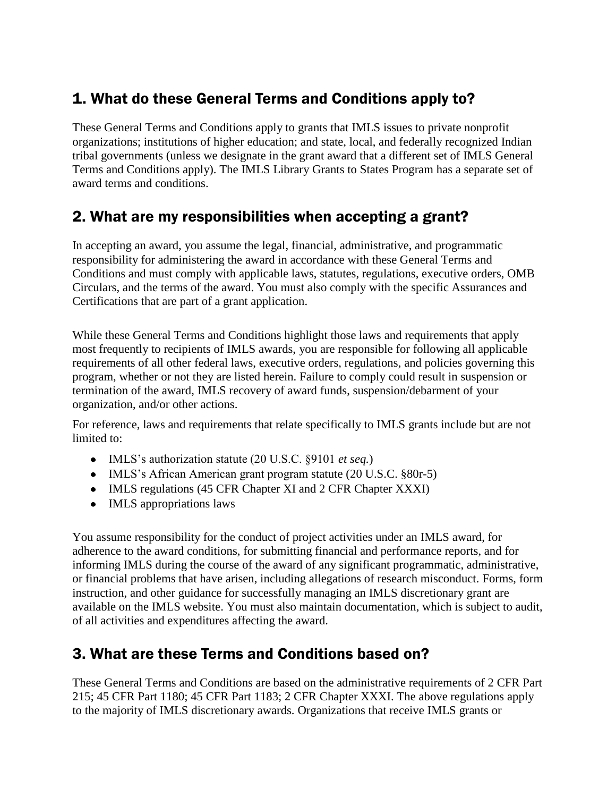### <span id="page-6-0"></span>1. What do these General Terms and Conditions apply to?

These General Terms and Conditions apply to grants that IMLS issues to private nonprofit organizations; institutions of higher education; and state, local, and federally recognized Indian tribal governments (unless we designate in the grant award that a different set of IMLS General Terms and Conditions apply). The IMLS Library Grants to States Program has a separate set of award terms and conditions.

### <span id="page-6-1"></span>2. What are my responsibilities when accepting a grant?

In accepting an award, you assume the legal, financial, administrative, and programmatic responsibility for administering the award in accordance with these General Terms and Conditions and must comply with applicable laws, statutes, regulations, executive orders, OMB Circulars, and the terms of the award. You must also comply with the specific Assurances and Certifications that are part of a grant application.

While these General Terms and Conditions highlight those laws and requirements that apply most frequently to recipients of IMLS awards, you are responsible for following all applicable requirements of all other federal laws, executive orders, regulations, and policies governing this program, whether or not they are listed herein. Failure to comply could result in suspension or termination of the award, IMLS recovery of award funds, suspension/debarment of your organization, and/or other actions.

For reference, laws and requirements that relate specifically to IMLS grants include but are not limited to:

- IMLS's authorization statute (20 U.S.C. §9101 *et seq.*)
- IMLS's African American grant program statute (20 U.S.C. §80r-5)
- IMLS regulations (45 CFR Chapter XI and 2 CFR Chapter XXXI)
- IMLS appropriations laws

You assume responsibility for the conduct of project activities under an IMLS award, for adherence to the award conditions, for submitting financial and performance reports, and for informing IMLS during the course of the award of any significant programmatic, administrative, or financial problems that have arisen, including allegations of research misconduct. Forms, form instruction, and other guidance for successfully managing an IMLS discretionary grant are available on the IMLS website. You must also maintain documentation, which is subject to audit, of all activities and expenditures affecting the award.

### <span id="page-6-2"></span>3. What are these Terms and Conditions based on?

These General Terms and Conditions are based on the administrative requirements of 2 CFR Part 215; 45 CFR Part 1180; 45 CFR Part 1183; 2 CFR Chapter XXXI. The above regulations apply to the majority of IMLS discretionary awards. Organizations that receive IMLS grants or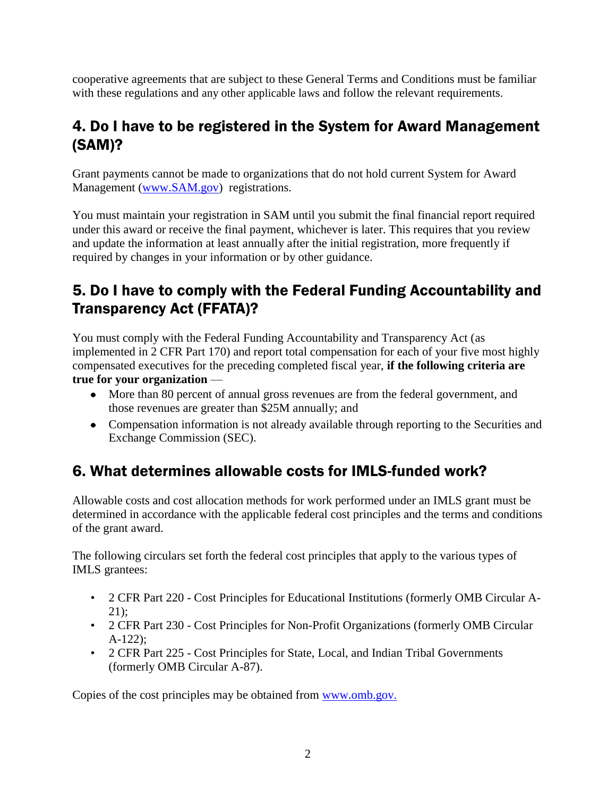cooperative agreements that are subject to these General Terms and Conditions must be familiar with these regulations and any other applicable laws and follow the relevant requirements.

### <span id="page-7-0"></span>4. Do I have to be registered in the System for Award Management (SAM)?

Grant payments cannot be made to organizations that do not hold current System for Award Management [\(www.SAM.gov\)](http://www.sam.gov/) registrations.

You must maintain your registration in SAM until you submit the final financial report required under this award or receive the final payment, whichever is later. This requires that you review and update the information at least annually after the initial registration, more frequently if required by changes in your information or by other guidance.

### <span id="page-7-1"></span>5. Do I have to comply with the Federal Funding Accountability and Transparency Act (FFATA)?

You must comply with the Federal Funding Accountability and Transparency Act (as implemented in 2 CFR Part 170) and report total compensation for each of your five most highly compensated executives for the preceding completed fiscal year, **if the following criteria are true for your organization** —

- More than 80 percent of annual gross revenues are from the federal government, and those revenues are greater than \$25M annually; and
- Compensation information is not already available through reporting to the Securities and Exchange Commission (SEC).

### <span id="page-7-2"></span>6. What determines allowable costs for IMLS-funded work?

Allowable costs and cost allocation methods for work performed under an IMLS grant must be determined in accordance with the applicable federal cost principles and the terms and conditions of the grant award.

The following circulars set forth the federal cost principles that apply to the various types of IMLS grantees:

- 2 CFR Part 220 Cost Principles for Educational Institutions (formerly OMB Circular A-21);
- 2 CFR Part 230 Cost Principles for Non-Profit Organizations (formerly OMB Circular A-122);
- 2 CFR Part 225 Cost Principles for State, Local, and Indian Tribal Governments (formerly OMB Circular A-87).

Copies of the cost principles may be obtained from [www.omb.gov.](http://www.omb.gov/)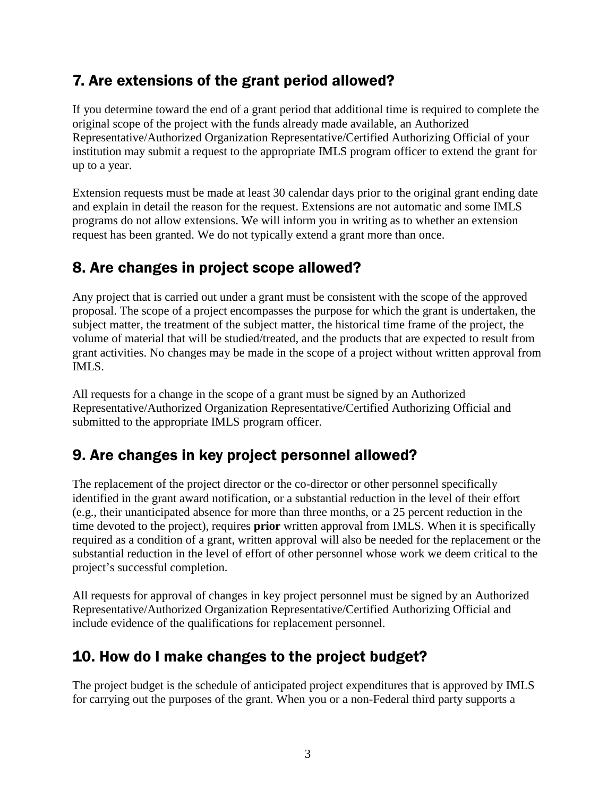### <span id="page-8-0"></span>7. Are extensions of the grant period allowed?

If you determine toward the end of a grant period that additional time is required to complete the original scope of the project with the funds already made available, an Authorized Representative/Authorized Organization Representative/Certified Authorizing Official of your institution may submit a request to the appropriate IMLS program officer to extend the grant for up to a year.

Extension requests must be made at least 30 calendar days prior to the original grant ending date and explain in detail the reason for the request. Extensions are not automatic and some IMLS programs do not allow extensions. We will inform you in writing as to whether an extension request has been granted. We do not typically extend a grant more than once.

### <span id="page-8-1"></span>8. Are changes in project scope allowed?

Any project that is carried out under a grant must be consistent with the scope of the approved proposal. The scope of a project encompasses the purpose for which the grant is undertaken, the subject matter, the treatment of the subject matter, the historical time frame of the project, the volume of material that will be studied/treated, and the products that are expected to result from grant activities. No changes may be made in the scope of a project without written approval from IMLS.

All requests for a change in the scope of a grant must be signed by an Authorized Representative/Authorized Organization Representative/Certified Authorizing Official and submitted to the appropriate IMLS program officer.

### <span id="page-8-2"></span>9. Are changes in key project personnel allowed?

The replacement of the project director or the co-director or other personnel specifically identified in the grant award notification, or a substantial reduction in the level of their effort (e.g., their unanticipated absence for more than three months, or a 25 percent reduction in the time devoted to the project), requires **prior** written approval from IMLS. When it is specifically required as a condition of a grant, written approval will also be needed for the replacement or the substantial reduction in the level of effort of other personnel whose work we deem critical to the project's successful completion.

All requests for approval of changes in key project personnel must be signed by an Authorized Representative/Authorized Organization Representative/Certified Authorizing Official and include evidence of the qualifications for replacement personnel.

### <span id="page-8-3"></span>10. How do I make changes to the project budget?

The project budget is the schedule of anticipated project expenditures that is approved by IMLS for carrying out the purposes of the grant. When you or a non-Federal third party supports a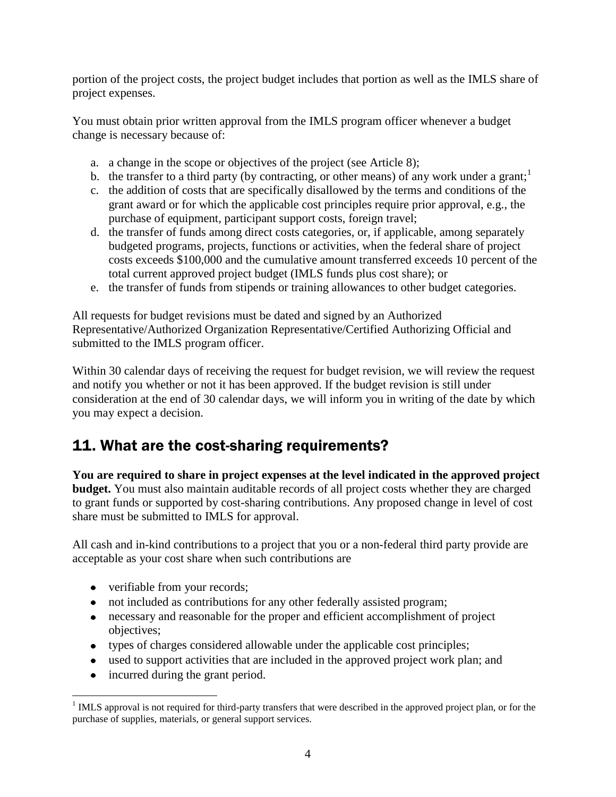portion of the project costs, the project budget includes that portion as well as the IMLS share of project expenses.

You must obtain prior written approval from the IMLS program officer whenever a budget change is necessary because of:

- a. a change in the scope or objectives of the project (see Article 8);
- b. the transfer to a third party (by contracting, or other means) of any work under a grant;<sup>1</sup>
- c. the addition of costs that are specifically disallowed by the terms and conditions of the grant award or for which the applicable cost principles require prior approval, e.g., the purchase of equipment, participant support costs, foreign travel;
- d. the transfer of funds among direct costs categories, or, if applicable, among separately budgeted programs, projects, functions or activities, when the federal share of project costs exceeds \$100,000 and the cumulative amount transferred exceeds 10 percent of the total current approved project budget (IMLS funds plus cost share); or
- e. the transfer of funds from stipends or training allowances to other budget categories.

All requests for budget revisions must be dated and signed by an Authorized Representative/Authorized Organization Representative/Certified Authorizing Official and submitted to the IMLS program officer.

Within 30 calendar days of receiving the request for budget revision, we will review the request and notify you whether or not it has been approved. If the budget revision is still under consideration at the end of 30 calendar days, we will inform you in writing of the date by which you may expect a decision.

### <span id="page-9-0"></span>11. What are the cost-sharing requirements?

**You are required to share in project expenses at the level indicated in the approved project budget.** You must also maintain auditable records of all project costs whether they are charged to grant funds or supported by cost-sharing contributions. Any proposed change in level of cost share must be submitted to IMLS for approval.

All cash and in-kind contributions to a project that you or a non-federal third party provide are acceptable as your cost share when such contributions are

- verifiable from your records;
- not included as contributions for any other federally assisted program;
- necessary and reasonable for the proper and efficient accomplishment of project objectives;
- types of charges considered allowable under the applicable cost principles;
- used to support activities that are included in the approved project work plan; and
- incurred during the grant period.

 $\overline{a}$  $1$  IMLS approval is not required for third-party transfers that were described in the approved project plan, or for the purchase of supplies, materials, or general support services.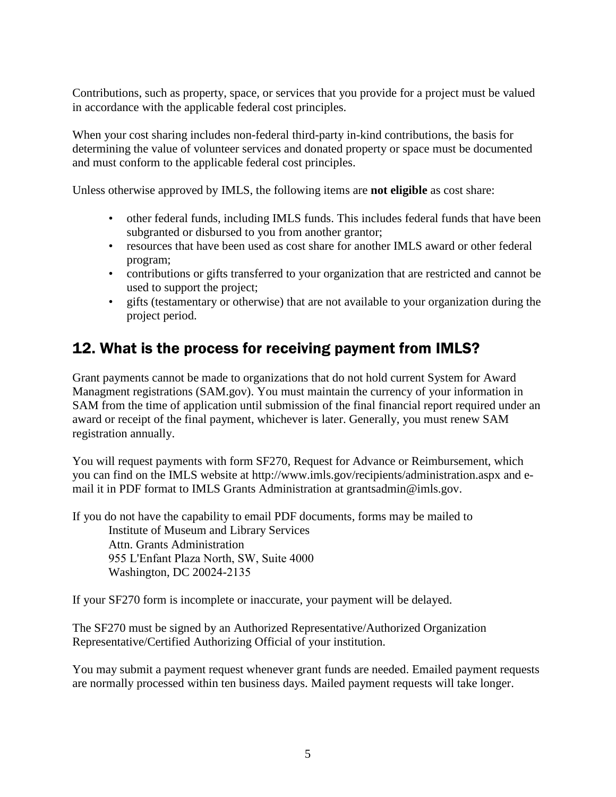Contributions, such as property, space, or services that you provide for a project must be valued in accordance with the applicable federal cost principles.

When your cost sharing includes non-federal third-party in-kind contributions, the basis for determining the value of volunteer services and donated property or space must be documented and must conform to the applicable federal cost principles.

Unless otherwise approved by IMLS, the following items are **not eligible** as cost share:

- other federal funds, including IMLS funds. This includes federal funds that have been subgranted or disbursed to you from another grantor;
- resources that have been used as cost share for another IMLS award or other federal program;
- contributions or gifts transferred to your organization that are restricted and cannot be used to support the project;
- gifts (testamentary or otherwise) that are not available to your organization during the project period.

### <span id="page-10-0"></span>12. What is the process for receiving payment from IMLS?

Grant payments cannot be made to organizations that do not hold current System for Award Managment registrations (SAM.gov). You must maintain the currency of your information in SAM from the time of application until submission of the final financial report required under an award or receipt of the final payment, whichever is later. Generally, you must renew SAM registration annually.

You will request payments with form SF270, Request for Advance or Reimbursement, which you can find on the IMLS website at http://www.imls.gov/recipients/administration.aspx and email it in PDF format to IMLS Grants Administration at grantsadmin@imls.gov.

If you do not have the capability to email PDF documents, forms may be mailed to Institute of Museum and Library Services Attn. Grants Administration 955 L'Enfant Plaza North, SW, Suite 4000 Washington, DC 20024-2135

If your SF270 form is incomplete or inaccurate, your payment will be delayed.

The SF270 must be signed by an Authorized Representative/Authorized Organization Representative/Certified Authorizing Official of your institution.

You may submit a payment request whenever grant funds are needed. Emailed payment requests are normally processed within ten business days. Mailed payment requests will take longer.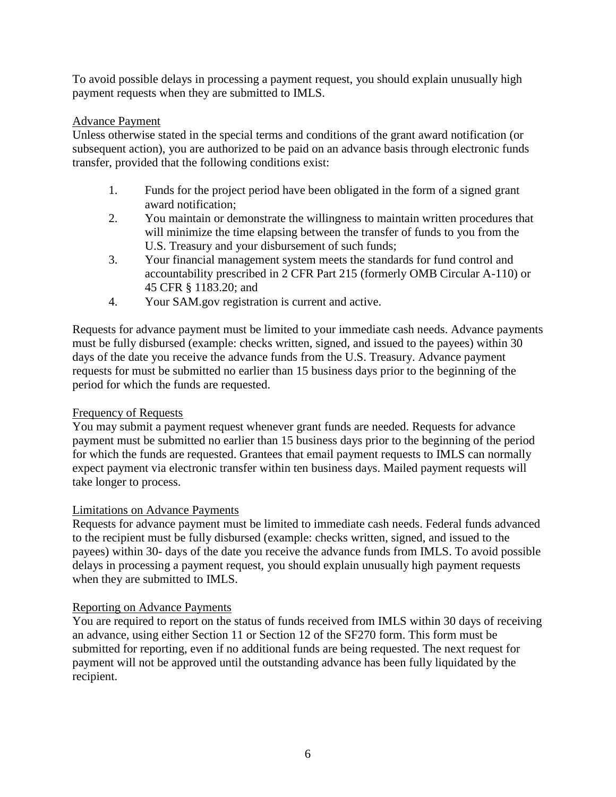To avoid possible delays in processing a payment request, you should explain unusually high payment requests when they are submitted to IMLS.

#### Advance Payment

Unless otherwise stated in the special terms and conditions of the grant award notification (or subsequent action), you are authorized to be paid on an advance basis through electronic funds transfer, provided that the following conditions exist:

- 1. Funds for the project period have been obligated in the form of a signed grant award notification;
- 2. You maintain or demonstrate the willingness to maintain written procedures that will minimize the time elapsing between the transfer of funds to you from the U.S. Treasury and your disbursement of such funds;
- 3. Your financial management system meets the standards for fund control and accountability prescribed in 2 CFR Part 215 (formerly OMB Circular A-110) or 45 CFR § 1183.20; and
- 4. Your SAM.gov registration is current and active.

Requests for advance payment must be limited to your immediate cash needs. Advance payments must be fully disbursed (example: checks written, signed, and issued to the payees) within 30 days of the date you receive the advance funds from the U.S. Treasury. Advance payment requests for must be submitted no earlier than 15 business days prior to the beginning of the period for which the funds are requested.

#### Frequency of Requests

You may submit a payment request whenever grant funds are needed. Requests for advance payment must be submitted no earlier than 15 business days prior to the beginning of the period for which the funds are requested. Grantees that email payment requests to IMLS can normally expect payment via electronic transfer within ten business days. Mailed payment requests will take longer to process.

#### Limitations on Advance Payments

Requests for advance payment must be limited to immediate cash needs. Federal funds advanced to the recipient must be fully disbursed (example: checks written, signed, and issued to the payees) within 30- days of the date you receive the advance funds from IMLS. To avoid possible delays in processing a payment request, you should explain unusually high payment requests when they are submitted to IMLS.

#### Reporting on Advance Payments

You are required to report on the status of funds received from IMLS within 30 days of receiving an advance, using either Section 11 or Section 12 of the SF270 form. This form must be submitted for reporting, even if no additional funds are being requested. The next request for payment will not be approved until the outstanding advance has been fully liquidated by the recipient.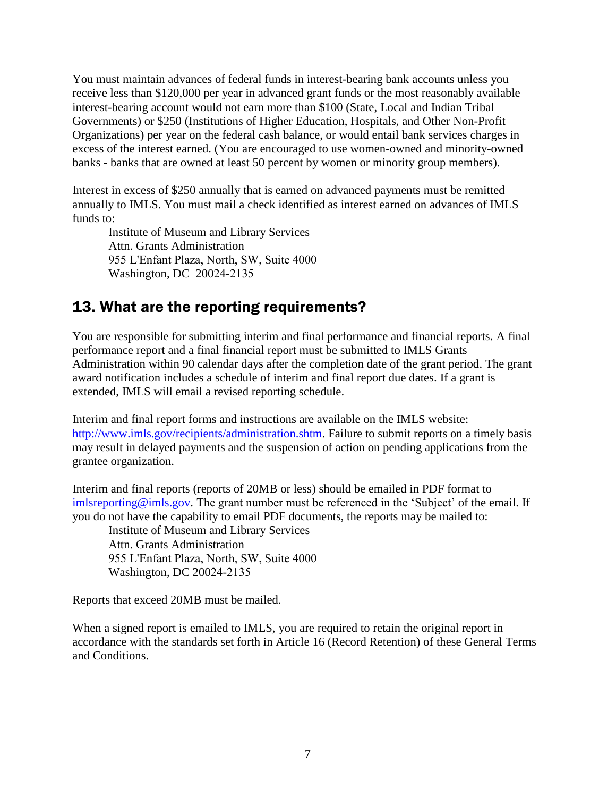You must maintain advances of federal funds in interest-bearing bank accounts unless you receive less than \$120,000 per year in advanced grant funds or the most reasonably available interest-bearing account would not earn more than \$100 (State, Local and Indian Tribal Governments) or \$250 (Institutions of Higher Education, Hospitals, and Other Non-Profit Organizations) per year on the federal cash balance, or would entail bank services charges in excess of the interest earned. (You are encouraged to use women-owned and minority-owned banks - banks that are owned at least 50 percent by women or minority group members).

Interest in excess of \$250 annually that is earned on advanced payments must be remitted annually to IMLS. You must mail a check identified as interest earned on advances of IMLS funds to:

Institute of Museum and Library Services Attn. Grants Administration 955 L'Enfant Plaza, North, SW, Suite 4000 Washington, DC 20024-2135

### <span id="page-12-0"></span>13. What are the reporting requirements?

You are responsible for submitting interim and final performance and financial reports. A final performance report and a final financial report must be submitted to IMLS Grants Administration within 90 calendar days after the completion date of the grant period. The grant award notification includes a schedule of interim and final report due dates. If a grant is extended, IMLS will email a revised reporting schedule.

Interim and final report forms and instructions are available on the IMLS website: [http://www.imls.gov/recipients/administration.shtm.](http://www.imls.gov/recipients/administration.shtm) Failure to submit reports on a timely basis may result in delayed payments and the suspension of action on pending applications from the grantee organization.

Interim and final reports (reports of 20MB or less) should be emailed in PDF format to [imlsreporting@imls.gov.](mailto:imlsreporting@imls.gov) The grant number must be referenced in the 'Subject' of the email. If you do not have the capability to email PDF documents, the reports may be mailed to:

Institute of Museum and Library Services Attn. Grants Administration 955 L'Enfant Plaza, North, SW, Suite 4000 Washington, DC 20024-2135

Reports that exceed 20MB must be mailed.

When a signed report is emailed to IMLS, you are required to retain the original report in accordance with the standards set forth in Article 16 (Record Retention) of these General Terms and Conditions.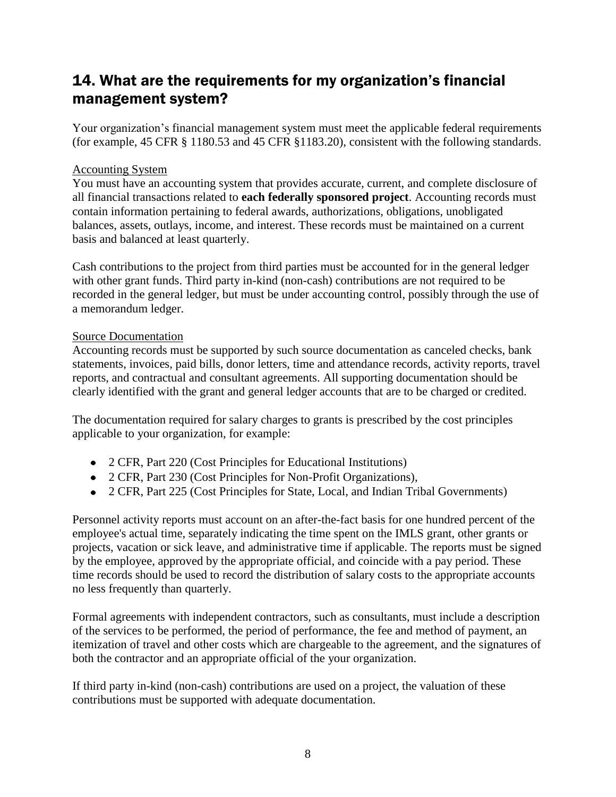### <span id="page-13-0"></span>14. What are the requirements for my organization's financial management system?

Your organization's financial management system must meet the applicable federal requirements (for example, 45 CFR § 1180.53 and 45 CFR §1183.20), consistent with the following standards.

#### Accounting System

You must have an accounting system that provides accurate, current, and complete disclosure of all financial transactions related to **each federally sponsored project**. Accounting records must contain information pertaining to federal awards, authorizations, obligations, unobligated balances, assets, outlays, income, and interest. These records must be maintained on a current basis and balanced at least quarterly.

Cash contributions to the project from third parties must be accounted for in the general ledger with other grant funds. Third party in-kind (non-cash) contributions are not required to be recorded in the general ledger, but must be under accounting control, possibly through the use of a memorandum ledger.

#### Source Documentation

Accounting records must be supported by such source documentation as canceled checks, bank statements, invoices, paid bills, donor letters, time and attendance records, activity reports, travel reports, and contractual and consultant agreements. All supporting documentation should be clearly identified with the grant and general ledger accounts that are to be charged or credited.

The documentation required for salary charges to grants is prescribed by the cost principles applicable to your organization, for example:

- 2 CFR, Part 220 (Cost Principles for Educational Institutions)
- 2 CFR, Part 230 (Cost Principles for Non-Profit Organizations),
- 2 CFR, Part 225 (Cost Principles for State, Local, and Indian Tribal Governments)

Personnel activity reports must account on an after-the-fact basis for one hundred percent of the employee's actual time, separately indicating the time spent on the IMLS grant, other grants or projects, vacation or sick leave, and administrative time if applicable. The reports must be signed by the employee, approved by the appropriate official, and coincide with a pay period. These time records should be used to record the distribution of salary costs to the appropriate accounts no less frequently than quarterly.

Formal agreements with independent contractors, such as consultants, must include a description of the services to be performed, the period of performance, the fee and method of payment, an itemization of travel and other costs which are chargeable to the agreement, and the signatures of both the contractor and an appropriate official of the your organization.

If third party in-kind (non-cash) contributions are used on a project, the valuation of these contributions must be supported with adequate documentation.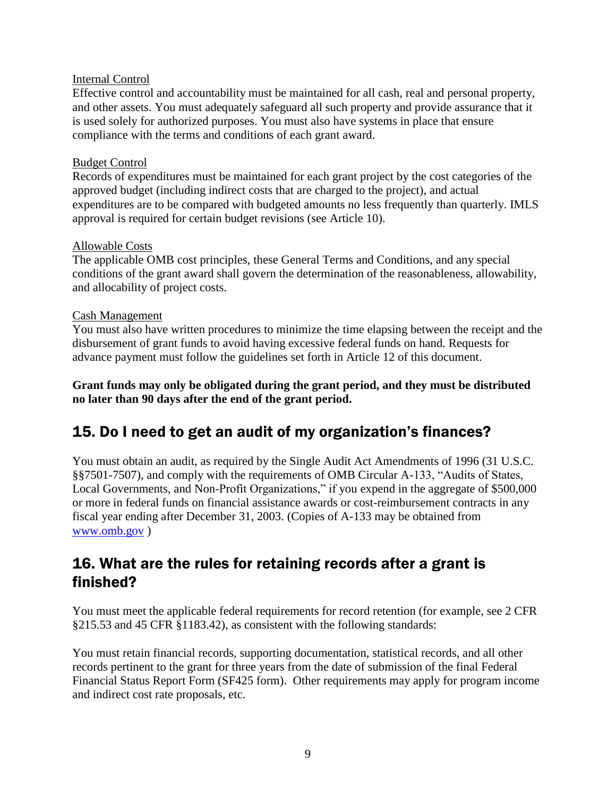#### Internal Control

Effective control and accountability must be maintained for all cash, real and personal property, and other assets. You must adequately safeguard all such property and provide assurance that it is used solely for authorized purposes. You must also have systems in place that ensure compliance with the terms and conditions of each grant award.

#### Budget Control

Records of expenditures must be maintained for each grant project by the cost categories of the approved budget (including indirect costs that are charged to the project), and actual expenditures are to be compared with budgeted amounts no less frequently than quarterly. IMLS approval is required for certain budget revisions (see Article 10).

#### Allowable Costs

The applicable OMB cost principles, these General Terms and Conditions, and any special conditions of the grant award shall govern the determination of the reasonableness, allowability, and allocability of project costs.

#### Cash Management

You must also have written procedures to minimize the time elapsing between the receipt and the disbursement of grant funds to avoid having excessive federal funds on hand. Requests for advance payment must follow the guidelines set forth in Article 12 of this document.

**Grant funds may only be obligated during the grant period, and they must be distributed no later than 90 days after the end of the grant period.** 

### <span id="page-14-0"></span>15. Do I need to get an audit of my organization's finances?

You must obtain an audit, as required by the Single Audit Act Amendments of 1996 (31 U.S.C. §§7501-7507), and comply with the requirements of OMB Circular A-133, "Audits of States, Local Governments, and Non-Profit Organizations," if you expend in the aggregate of \$500,000 or more in federal funds on financial assistance awards or cost-reimbursement contracts in any fiscal year ending after December 31, 2003. (Copies of A-133 may be obtained from [www.omb.gov](http://www.omb.gov/) )

### <span id="page-14-1"></span>16. What are the rules for retaining records after a grant is finished?

You must meet the applicable federal requirements for record retention (for example, see 2 CFR §215.53 and 45 CFR §1183.42), as consistent with the following standards:

You must retain financial records, supporting documentation, statistical records, and all other records pertinent to the grant for three years from the date of submission of the final Federal Financial Status Report Form (SF425 form). Other requirements may apply for program income and indirect cost rate proposals, etc.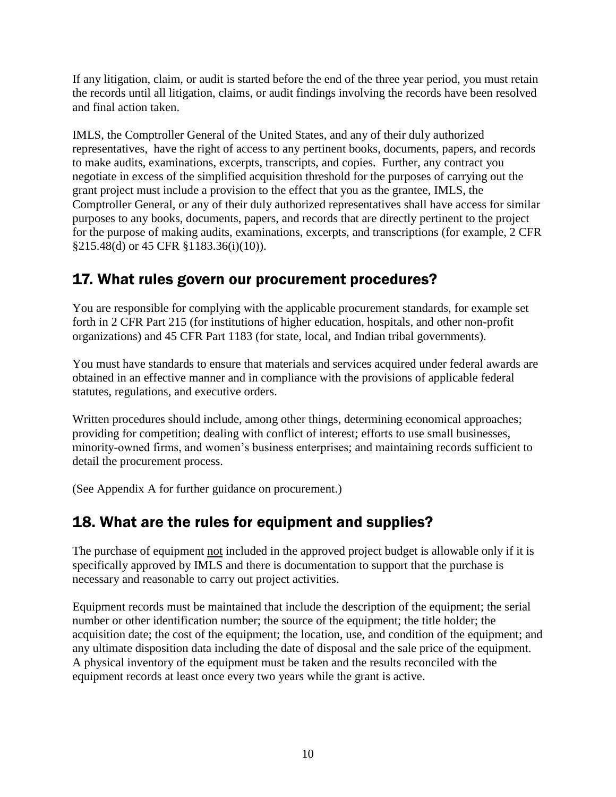If any litigation, claim, or audit is started before the end of the three year period, you must retain the records until all litigation, claims, or audit findings involving the records have been resolved and final action taken.

IMLS, the Comptroller General of the United States, and any of their duly authorized representatives, have the right of access to any pertinent books, documents, papers, and records to make audits, examinations, excerpts, transcripts, and copies. Further, any contract you negotiate in excess of the simplified acquisition threshold for the purposes of carrying out the grant project must include a provision to the effect that you as the grantee, IMLS, the Comptroller General, or any of their duly authorized representatives shall have access for similar purposes to any books, documents, papers, and records that are directly pertinent to the project for the purpose of making audits, examinations, excerpts, and transcriptions (for example, 2 CFR §215.48(d) or 45 CFR §1183.36(i)(10)).

### <span id="page-15-0"></span>17. What rules govern our procurement procedures?

You are responsible for complying with the applicable procurement standards, for example set forth in 2 CFR Part 215 (for institutions of higher education, hospitals, and other non-profit organizations) and 45 CFR Part 1183 (for state, local, and Indian tribal governments).

You must have standards to ensure that materials and services acquired under federal awards are obtained in an effective manner and in compliance with the provisions of applicable federal statutes, regulations, and executive orders.

Written procedures should include, among other things, determining economical approaches; providing for competition; dealing with conflict of interest; efforts to use small businesses, minority-owned firms, and women's business enterprises; and maintaining records sufficient to detail the procurement process.

<span id="page-15-1"></span>(See Appendix A for further guidance on procurement.)

### 18. What are the rules for equipment and supplies?

The purchase of equipment not included in the approved project budget is allowable only if it is specifically approved by IMLS and there is documentation to support that the purchase is necessary and reasonable to carry out project activities.

Equipment records must be maintained that include the description of the equipment; the serial number or other identification number; the source of the equipment; the title holder; the acquisition date; the cost of the equipment; the location, use, and condition of the equipment; and any ultimate disposition data including the date of disposal and the sale price of the equipment. A physical inventory of the equipment must be taken and the results reconciled with the equipment records at least once every two years while the grant is active.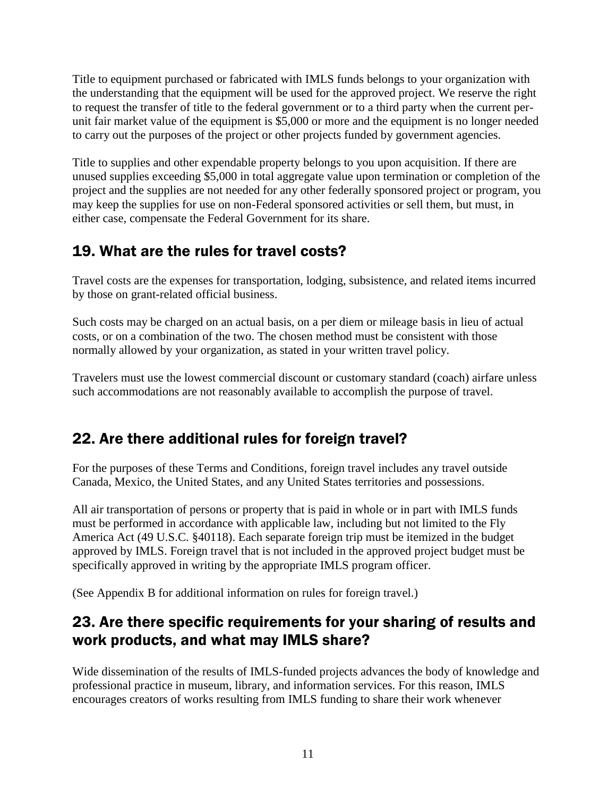Title to equipment purchased or fabricated with IMLS funds belongs to your organization with the understanding that the equipment will be used for the approved project. We reserve the right to request the transfer of title to the federal government or to a third party when the current perunit fair market value of the equipment is \$5,000 or more and the equipment is no longer needed to carry out the purposes of the project or other projects funded by government agencies.

Title to supplies and other expendable property belongs to you upon acquisition. If there are unused supplies exceeding \$5,000 in total aggregate value upon termination or completion of the project and the supplies are not needed for any other federally sponsored project or program, you may keep the supplies for use on non-Federal sponsored activities or sell them, but must, in either case, compensate the Federal Government for its share.

### <span id="page-16-0"></span>19. What are the rules for travel costs?

Travel costs are the expenses for transportation, lodging, subsistence, and related items incurred by those on grant-related official business.

Such costs may be charged on an actual basis, on a per diem or mileage basis in lieu of actual costs, or on a combination of the two. The chosen method must be consistent with those normally allowed by your organization, as stated in your written travel policy.

Travelers must use the lowest commercial discount or customary standard (coach) airfare unless such accommodations are not reasonably available to accomplish the purpose of travel.

### <span id="page-16-1"></span>22. Are there additional rules for foreign travel?

For the purposes of these Terms and Conditions, foreign travel includes any travel outside Canada, Mexico, the United States, and any United States territories and possessions.

All air transportation of persons or property that is paid in whole or in part with IMLS funds must be performed in accordance with applicable law, including but not limited to the Fly America Act (49 U.S.C. §40118). Each separate foreign trip must be itemized in the budget approved by IMLS. Foreign travel that is not included in the approved project budget must be specifically approved in writing by the appropriate IMLS program officer.

(See Appendix B for additional information on rules for foreign travel.)

### <span id="page-16-2"></span>23. Are there specific requirements for your sharing of results and work products, and what may IMLS share?

Wide dissemination of the results of IMLS-funded projects advances the body of knowledge and professional practice in museum, library, and information services. For this reason, IMLS encourages creators of works resulting from IMLS funding to share their work whenever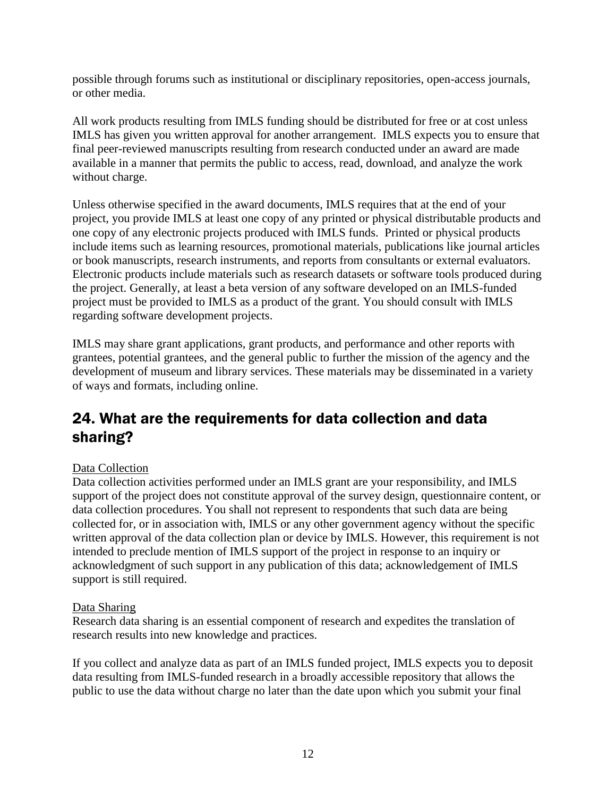possible through forums such as institutional or disciplinary repositories, open-access journals, or other media.

All work products resulting from IMLS funding should be distributed for free or at cost unless IMLS has given you written approval for another arrangement. IMLS expects you to ensure that final peer-reviewed manuscripts resulting from research conducted under an award are made available in a manner that permits the public to access, read, download, and analyze the work without charge.

Unless otherwise specified in the award documents, IMLS requires that at the end of your project, you provide IMLS at least one copy of any printed or physical distributable products and one copy of any electronic projects produced with IMLS funds. Printed or physical products include items such as learning resources, promotional materials, publications like journal articles or book manuscripts, research instruments, and reports from consultants or external evaluators. Electronic products include materials such as research datasets or software tools produced during the project. Generally, at least a beta version of any software developed on an IMLS-funded project must be provided to IMLS as a product of the grant. You should consult with IMLS regarding software development projects.

IMLS may share grant applications, grant products, and performance and other reports with grantees, potential grantees, and the general public to further the mission of the agency and the development of museum and library services. These materials may be disseminated in a variety of ways and formats, including online.

### <span id="page-17-0"></span>24. What are the requirements for data collection and data sharing?

#### Data Collection

Data collection activities performed under an IMLS grant are your responsibility, and IMLS support of the project does not constitute approval of the survey design, questionnaire content, or data collection procedures. You shall not represent to respondents that such data are being collected for, or in association with, IMLS or any other government agency without the specific written approval of the data collection plan or device by IMLS. However, this requirement is not intended to preclude mention of IMLS support of the project in response to an inquiry or acknowledgment of such support in any publication of this data; acknowledgement of IMLS support is still required.

#### Data Sharing

Research data sharing is an essential component of research and expedites the translation of research results into new knowledge and practices.

If you collect and analyze data as part of an IMLS funded project, IMLS expects you to deposit data resulting from IMLS-funded research in a broadly accessible repository that allows the public to use the data without charge no later than the date upon which you submit your final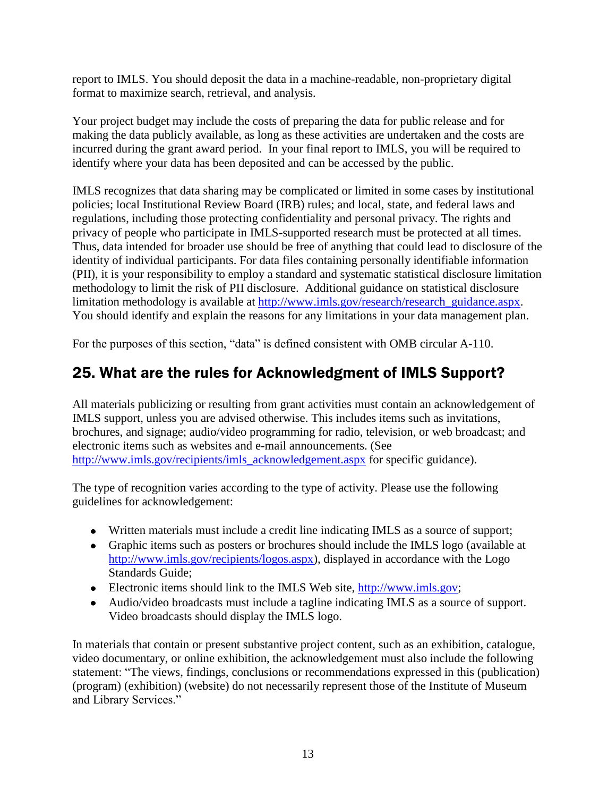report to IMLS. You should deposit the data in a machine-readable, non-proprietary digital format to maximize search, retrieval, and analysis.

Your project budget may include the costs of preparing the data for public release and for making the data publicly available, as long as these activities are undertaken and the costs are incurred during the grant award period. In your final report to IMLS, you will be required to identify where your data has been deposited and can be accessed by the public.

IMLS recognizes that data sharing may be complicated or limited in some cases by institutional policies; local Institutional Review Board (IRB) rules; and local, state, and federal laws and regulations, including those protecting confidentiality and personal privacy. The rights and privacy of people who participate in IMLS-supported research must be protected at all times. Thus, data intended for broader use should be free of anything that could lead to disclosure of the identity of individual participants. For data files containing personally identifiable information (PII), it is your responsibility to employ a standard and systematic statistical disclosure limitation methodology to limit the risk of PII disclosure. Additional guidance on statistical disclosure limitation methodology is available at [http://www.imls.gov/research/research\\_guidance.aspx.](http://www.imls.gov/research/research_guidance.aspx) You should identify and explain the reasons for any limitations in your data management plan.

For the purposes of this section, "data" is defined consistent with OMB circular A-110.

### <span id="page-18-0"></span>25. What are the rules for Acknowledgment of IMLS Support?

All materials publicizing or resulting from grant activities must contain an acknowledgement of IMLS support, unless you are advised otherwise. This includes items such as invitations, brochures, and signage; audio/video programming for radio, television, or web broadcast; and electronic items such as websites and e-mail announcements. (See [http://www.imls.gov/recipients/imls\\_acknowledgement.aspx](http://www.imls.gov/recipients/imls_acknowledgement.aspx) for specific guidance).

The type of recognition varies according to the type of activity. Please use the following guidelines for acknowledgement:

- Written materials must include a credit line indicating IMLS as a source of support;
- Graphic items such as posters or brochures should include the IMLS logo (available at [http://www.imls.gov/recipients/logos.aspx\)](http://www.imls.gov/recipients/logos.shtm), displayed in accordance with the Logo Standards Guide;
- Electronic items should link to the IMLS Web site, [http://www.imls.gov;](http://www.imls.gov/)
- Audio/video broadcasts must include a tagline indicating IMLS as a source of support. Video broadcasts should display the IMLS logo.

In materials that contain or present substantive project content, such as an exhibition, catalogue, video documentary, or online exhibition, the acknowledgement must also include the following statement: "The views, findings, conclusions or recommendations expressed in this (publication) (program) (exhibition) (website) do not necessarily represent those of the Institute of Museum and Library Services."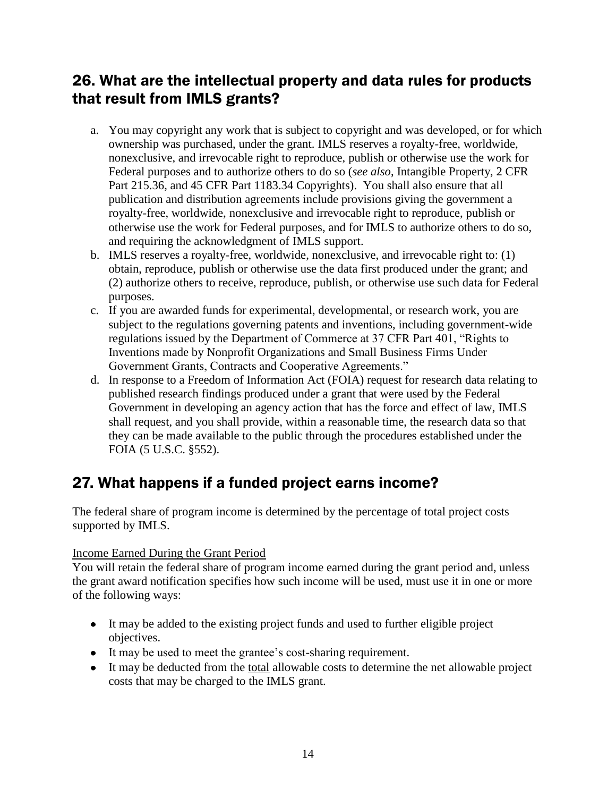### <span id="page-19-0"></span>26. What are the intellectual property and data rules for products that result from IMLS grants?

- a. You may copyright any work that is subject to copyright and was developed, or for which ownership was purchased, under the grant. IMLS reserves a royalty-free, worldwide, nonexclusive, and irrevocable right to reproduce, publish or otherwise use the work for Federal purposes and to authorize others to do so (*see also*, Intangible Property, 2 CFR Part 215.36, and 45 CFR Part 1183.34 Copyrights). You shall also ensure that all publication and distribution agreements include provisions giving the government a royalty-free, worldwide, nonexclusive and irrevocable right to reproduce, publish or otherwise use the work for Federal purposes, and for IMLS to authorize others to do so, and requiring the acknowledgment of IMLS support.
- b. IMLS reserves a royalty-free, worldwide, nonexclusive, and irrevocable right to: (1) obtain, reproduce, publish or otherwise use the data first produced under the grant; and (2) authorize others to receive, reproduce, publish, or otherwise use such data for Federal purposes.
- c. If you are awarded funds for experimental, developmental, or research work, you are subject to the regulations governing patents and inventions, including government-wide regulations issued by the Department of Commerce at 37 CFR Part 401, "Rights to Inventions made by Nonprofit Organizations and Small Business Firms Under Government Grants, Contracts and Cooperative Agreements."
- d. In response to a Freedom of Information Act (FOIA) request for research data relating to published research findings produced under a grant that were used by the Federal Government in developing an agency action that has the force and effect of law, IMLS shall request, and you shall provide, within a reasonable time, the research data so that they can be made available to the public through the procedures established under the FOIA (5 U.S.C. §552).

### <span id="page-19-1"></span>27. What happens if a funded project earns income?

The federal share of program income is determined by the percentage of total project costs supported by IMLS.

#### Income Earned During the Grant Period

You will retain the federal share of program income earned during the grant period and, unless the grant award notification specifies how such income will be used, must use it in one or more of the following ways:

- It may be added to the existing project funds and used to further eligible project objectives.
- It may be used to meet the grantee's cost-sharing requirement.
- It may be deducted from the total allowable costs to determine the net allowable project costs that may be charged to the IMLS grant.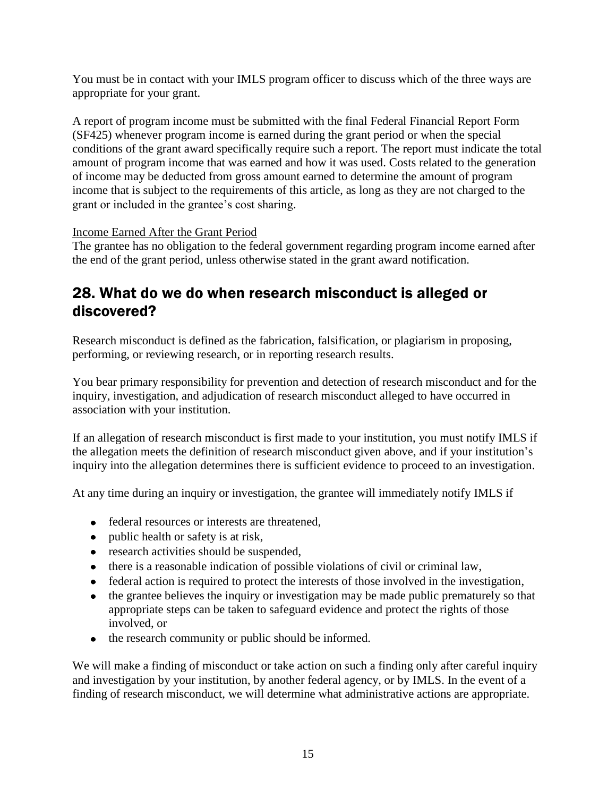You must be in contact with your IMLS program officer to discuss which of the three ways are appropriate for your grant.

A report of program income must be submitted with the final Federal Financial Report Form (SF425) whenever program income is earned during the grant period or when the special conditions of the grant award specifically require such a report. The report must indicate the total amount of program income that was earned and how it was used. Costs related to the generation of income may be deducted from gross amount earned to determine the amount of program income that is subject to the requirements of this article, as long as they are not charged to the grant or included in the grantee's cost sharing.

#### Income Earned After the Grant Period

The grantee has no obligation to the federal government regarding program income earned after the end of the grant period, unless otherwise stated in the grant award notification.

### <span id="page-20-0"></span>28. What do we do when research misconduct is alleged or discovered?

Research misconduct is defined as the fabrication, falsification, or plagiarism in proposing, performing, or reviewing research, or in reporting research results.

You bear primary responsibility for prevention and detection of research misconduct and for the inquiry, investigation, and adjudication of research misconduct alleged to have occurred in association with your institution.

If an allegation of research misconduct is first made to your institution, you must notify IMLS if the allegation meets the definition of research misconduct given above, and if your institution's inquiry into the allegation determines there is sufficient evidence to proceed to an investigation.

At any time during an inquiry or investigation, the grantee will immediately notify IMLS if

- federal resources or interests are threatened,
- public health or safety is at risk,
- research activities should be suspended,
- there is a reasonable indication of possible violations of civil or criminal law,
- federal action is required to protect the interests of those involved in the investigation,
- the grantee believes the inquiry or investigation may be made public prematurely so that appropriate steps can be taken to safeguard evidence and protect the rights of those involved, or
- the research community or public should be informed.

We will make a finding of misconduct or take action on such a finding only after careful inquiry and investigation by your institution, by another federal agency, or by IMLS. In the event of a finding of research misconduct, we will determine what administrative actions are appropriate.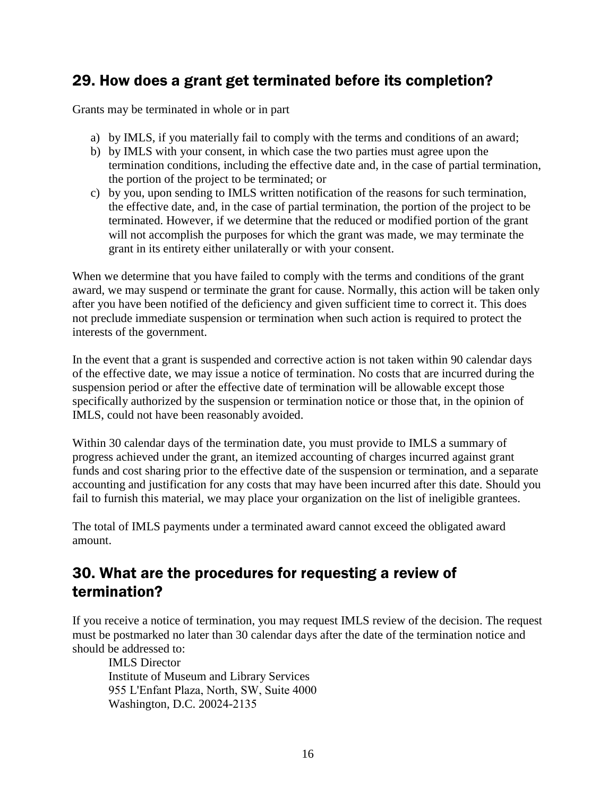### <span id="page-21-0"></span>29. How does a grant get terminated before its completion?

Grants may be terminated in whole or in part

- a) by IMLS, if you materially fail to comply with the terms and conditions of an award;
- b) by IMLS with your consent, in which case the two parties must agree upon the termination conditions, including the effective date and, in the case of partial termination, the portion of the project to be terminated; or
- c) by you, upon sending to IMLS written notification of the reasons for such termination, the effective date, and, in the case of partial termination, the portion of the project to be terminated. However, if we determine that the reduced or modified portion of the grant will not accomplish the purposes for which the grant was made, we may terminate the grant in its entirety either unilaterally or with your consent.

When we determine that you have failed to comply with the terms and conditions of the grant award, we may suspend or terminate the grant for cause. Normally, this action will be taken only after you have been notified of the deficiency and given sufficient time to correct it. This does not preclude immediate suspension or termination when such action is required to protect the interests of the government.

In the event that a grant is suspended and corrective action is not taken within 90 calendar days of the effective date, we may issue a notice of termination. No costs that are incurred during the suspension period or after the effective date of termination will be allowable except those specifically authorized by the suspension or termination notice or those that, in the opinion of IMLS, could not have been reasonably avoided.

Within 30 calendar days of the termination date, you must provide to IMLS a summary of progress achieved under the grant, an itemized accounting of charges incurred against grant funds and cost sharing prior to the effective date of the suspension or termination, and a separate accounting and justification for any costs that may have been incurred after this date. Should you fail to furnish this material, we may place your organization on the list of ineligible grantees.

The total of IMLS payments under a terminated award cannot exceed the obligated award amount.

### <span id="page-21-1"></span>30. What are the procedures for requesting a review of termination?

If you receive a notice of termination, you may request IMLS review of the decision. The request must be postmarked no later than 30 calendar days after the date of the termination notice and should be addressed to:

IMLS Director Institute of Museum and Library Services 955 L'Enfant Plaza, North, SW, Suite 4000 Washington, D.C. 20024-2135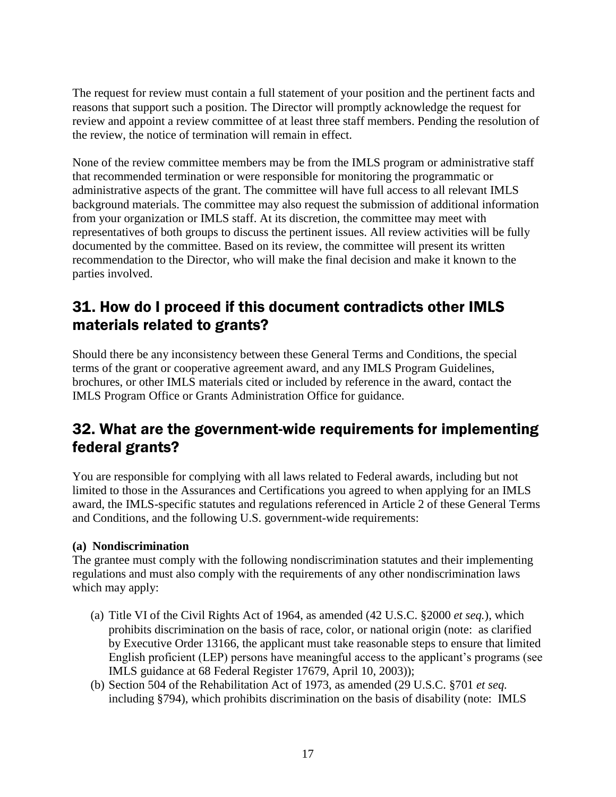The request for review must contain a full statement of your position and the pertinent facts and reasons that support such a position. The Director will promptly acknowledge the request for review and appoint a review committee of at least three staff members. Pending the resolution of the review, the notice of termination will remain in effect.

None of the review committee members may be from the IMLS program or administrative staff that recommended termination or were responsible for monitoring the programmatic or administrative aspects of the grant. The committee will have full access to all relevant IMLS background materials. The committee may also request the submission of additional information from your organization or IMLS staff. At its discretion, the committee may meet with representatives of both groups to discuss the pertinent issues. All review activities will be fully documented by the committee. Based on its review, the committee will present its written recommendation to the Director, who will make the final decision and make it known to the parties involved.

### <span id="page-22-0"></span>31. How do I proceed if this document contradicts other IMLS materials related to grants?

Should there be any inconsistency between these General Terms and Conditions, the special terms of the grant or cooperative agreement award, and any IMLS Program Guidelines, brochures, or other IMLS materials cited or included by reference in the award, contact the IMLS Program Office or Grants Administration Office for guidance.

### <span id="page-22-1"></span>32. What are the government-wide requirements for implementing federal grants?

You are responsible for complying with all laws related to Federal awards, including but not limited to those in the Assurances and Certifications you agreed to when applying for an IMLS award, the IMLS-specific statutes and regulations referenced in Article 2 of these General Terms and Conditions, and the following U.S. government-wide requirements:

#### **(a) Nondiscrimination**

The grantee must comply with the following nondiscrimination statutes and their implementing regulations and must also comply with the requirements of any other nondiscrimination laws which may apply:

- (a) Title VI of the Civil Rights Act of 1964, as amended (42 U.S.C. §2000 *et seq.*), which prohibits discrimination on the basis of race, color, or national origin (note: as clarified by Executive Order 13166, the applicant must take reasonable steps to ensure that limited English proficient (LEP) persons have meaningful access to the applicant's programs (see IMLS guidance at 68 Federal Register 17679, April 10, 2003));
- (b) Section 504 of the Rehabilitation Act of 1973, as amended (29 U.S.C. §701 *et seq.* including §794), which prohibits discrimination on the basis of disability (note: IMLS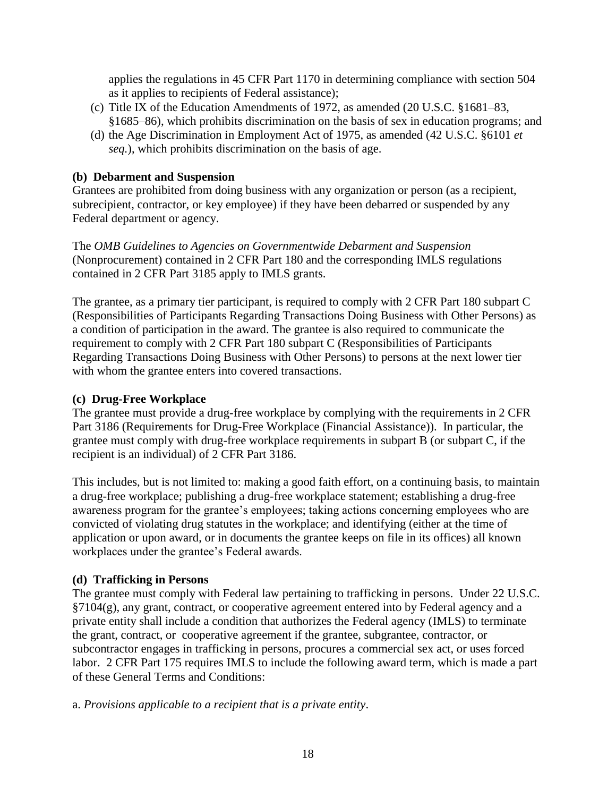applies the regulations in 45 CFR Part 1170 in determining compliance with section 504 as it applies to recipients of Federal assistance);

- (c) Title IX of the Education Amendments of 1972, as amended (20 U.S.C. §1681–83, §1685–86), which prohibits discrimination on the basis of sex in education programs; and
- (d) the Age Discrimination in Employment Act of 1975, as amended (42 U.S.C. §6101 *et seq.*), which prohibits discrimination on the basis of age.

#### **(b) Debarment and Suspension**

Grantees are prohibited from doing business with any organization or person (as a recipient, subrecipient, contractor, or key employee) if they have been debarred or suspended by any Federal department or agency.

The *OMB Guidelines to Agencies on Governmentwide Debarment and Suspension* (Nonprocurement) contained in 2 CFR Part 180 and the corresponding IMLS regulations contained in 2 CFR Part 3185 apply to IMLS grants.

The grantee, as a primary tier participant, is required to comply with 2 CFR Part 180 subpart C (Responsibilities of Participants Regarding Transactions Doing Business with Other Persons) as a condition of participation in the award. The grantee is also required to communicate the requirement to comply with 2 CFR Part 180 subpart C (Responsibilities of Participants Regarding Transactions Doing Business with Other Persons) to persons at the next lower tier with whom the grantee enters into covered transactions.

#### **(c) Drug-Free Workplace**

The grantee must provide a drug-free workplace by complying with the requirements in 2 CFR Part 3186 (Requirements for Drug-Free Workplace (Financial Assistance)). In particular, the grantee must comply with drug-free workplace requirements in subpart B (or subpart C, if the recipient is an individual) of 2 CFR Part 3186.

This includes, but is not limited to: making a good faith effort, on a continuing basis, to maintain a drug-free workplace; publishing a drug-free workplace statement; establishing a drug-free awareness program for the grantee's employees; taking actions concerning employees who are convicted of violating drug statutes in the workplace; and identifying (either at the time of application or upon award, or in documents the grantee keeps on file in its offices) all known workplaces under the grantee's Federal awards.

#### **(d) Trafficking in Persons**

The grantee must comply with Federal law pertaining to trafficking in persons. Under 22 U.S.C. §7104(g), any grant, contract, or cooperative agreement entered into by Federal agency and a private entity shall include a condition that authorizes the Federal agency (IMLS) to terminate the grant, contract, or cooperative agreement if the grantee, subgrantee, contractor, or subcontractor engages in trafficking in persons, procures a commercial sex act, or uses forced labor. 2 CFR Part 175 requires IMLS to include the following award term, which is made a part of these General Terms and Conditions:

a. *Provisions applicable to a recipient that is a private entity*.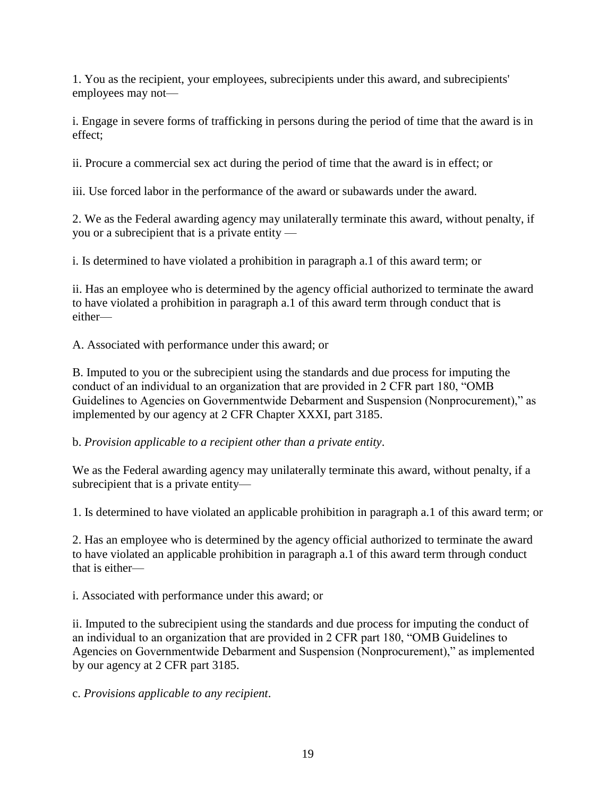1. You as the recipient, your employees, subrecipients under this award, and subrecipients' employees may not—

i. Engage in severe forms of trafficking in persons during the period of time that the award is in effect;

ii. Procure a commercial sex act during the period of time that the award is in effect; or

iii. Use forced labor in the performance of the award or subawards under the award.

2. We as the Federal awarding agency may unilaterally terminate this award, without penalty, if you or a subrecipient that is a private entity —

i. Is determined to have violated a prohibition in paragraph a.1 of this award term; or

ii. Has an employee who is determined by the agency official authorized to terminate the award to have violated a prohibition in paragraph a.1 of this award term through conduct that is either—

A. Associated with performance under this award; or

B. Imputed to you or the subrecipient using the standards and due process for imputing the conduct of an individual to an organization that are provided in 2 CFR part 180, "OMB Guidelines to Agencies on Governmentwide Debarment and Suspension (Nonprocurement)," as implemented by our agency at 2 CFR Chapter XXXI, part 3185.

b. *Provision applicable to a recipient other than a private entity*.

We as the Federal awarding agency may unilaterally terminate this award, without penalty, if a subrecipient that is a private entity—

1. Is determined to have violated an applicable prohibition in paragraph a.1 of this award term; or

2. Has an employee who is determined by the agency official authorized to terminate the award to have violated an applicable prohibition in paragraph a.1 of this award term through conduct that is either—

i. Associated with performance under this award; or

ii. Imputed to the subrecipient using the standards and due process for imputing the conduct of an individual to an organization that are provided in 2 CFR part 180, "OMB Guidelines to Agencies on Governmentwide Debarment and Suspension (Nonprocurement)," as implemented by our agency at 2 CFR part 3185.

c. *Provisions applicable to any recipient*.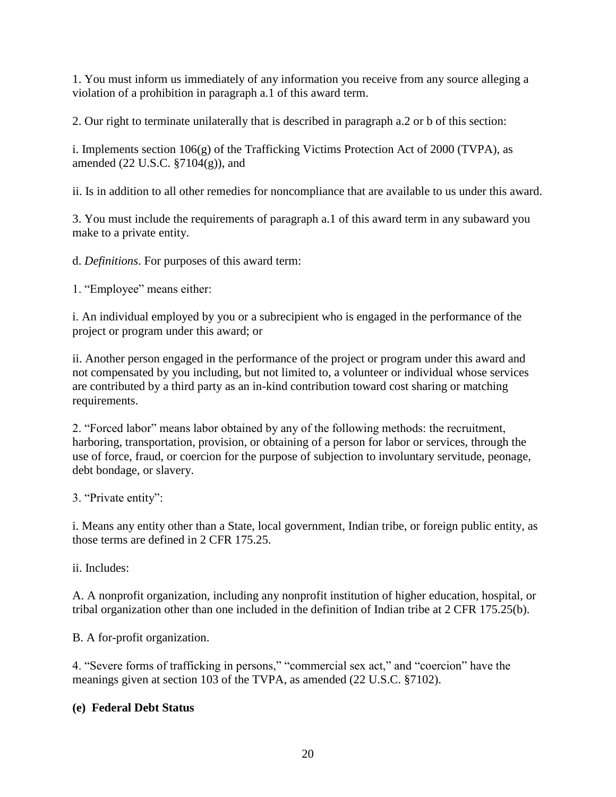1. You must inform us immediately of any information you receive from any source alleging a violation of a prohibition in paragraph a.1 of this award term.

2. Our right to terminate unilaterally that is described in paragraph a.2 or b of this section:

i. Implements section 106(g) of the Trafficking Victims Protection Act of 2000 (TVPA), as amended (22 U.S.C. §7104(g)), and

ii. Is in addition to all other remedies for noncompliance that are available to us under this award.

3. You must include the requirements of paragraph a.1 of this award term in any subaward you make to a private entity.

d. *Definitions*. For purposes of this award term:

1. "Employee" means either:

i. An individual employed by you or a subrecipient who is engaged in the performance of the project or program under this award; or

ii. Another person engaged in the performance of the project or program under this award and not compensated by you including, but not limited to, a volunteer or individual whose services are contributed by a third party as an in-kind contribution toward cost sharing or matching requirements.

2. "Forced labor" means labor obtained by any of the following methods: the recruitment, harboring, transportation, provision, or obtaining of a person for labor or services, through the use of force, fraud, or coercion for the purpose of subjection to involuntary servitude, peonage, debt bondage, or slavery.

3. "Private entity":

i. Means any entity other than a State, local government, Indian tribe, or foreign public entity, as those terms are defined in 2 CFR 175.25.

ii. Includes:

A. A nonprofit organization, including any nonprofit institution of higher education, hospital, or tribal organization other than one included in the definition of Indian tribe at 2 CFR 175.25(b).

B. A for-profit organization.

4. "Severe forms of trafficking in persons," "commercial sex act," and "coercion" have the meanings given at section 103 of the TVPA, as amended (22 U.S.C. §7102).

#### **(e) Federal Debt Status**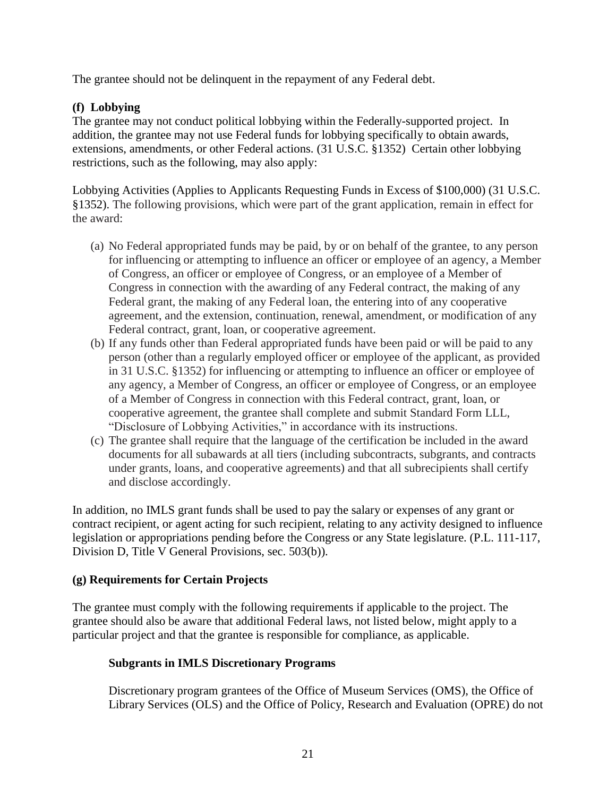The grantee should not be delinquent in the repayment of any Federal debt.

#### **(f) Lobbying**

The grantee may not conduct political lobbying within the Federally-supported project. In addition, the grantee may not use Federal funds for lobbying specifically to obtain awards, extensions, amendments, or other Federal actions. (31 U.S.C. §1352) Certain other lobbying restrictions, such as the following, may also apply:

Lobbying Activities (Applies to Applicants Requesting Funds in Excess of \$100,000) (31 U.S.C. §1352). The following provisions, which were part of the grant application, remain in effect for the award:

- (a) No Federal appropriated funds may be paid, by or on behalf of the grantee, to any person for influencing or attempting to influence an officer or employee of an agency, a Member of Congress, an officer or employee of Congress, or an employee of a Member of Congress in connection with the awarding of any Federal contract, the making of any Federal grant, the making of any Federal loan, the entering into of any cooperative agreement, and the extension, continuation, renewal, amendment, or modification of any Federal contract, grant, loan, or cooperative agreement.
- (b) If any funds other than Federal appropriated funds have been paid or will be paid to any person (other than a regularly employed officer or employee of the applicant, as provided in 31 U.S.C. §1352) for influencing or attempting to influence an officer or employee of any agency, a Member of Congress, an officer or employee of Congress, or an employee of a Member of Congress in connection with this Federal contract, grant, loan, or cooperative agreement, the grantee shall complete and submit Standard Form LLL, "Disclosure of Lobbying Activities," in accordance with its instructions.
- (c) The grantee shall require that the language of the certification be included in the award documents for all subawards at all tiers (including subcontracts, subgrants, and contracts under grants, loans, and cooperative agreements) and that all subrecipients shall certify and disclose accordingly.

In addition, no IMLS grant funds shall be used to pay the salary or expenses of any grant or contract recipient, or agent acting for such recipient, relating to any activity designed to influence legislation or appropriations pending before the Congress or any State legislature. (P.L. 111-117, Division D, Title V General Provisions, sec. 503(b)).

#### **(g) Requirements for Certain Projects**

The grantee must comply with the following requirements if applicable to the project. The grantee should also be aware that additional Federal laws, not listed below, might apply to a particular project and that the grantee is responsible for compliance, as applicable.

#### **Subgrants in IMLS Discretionary Programs**

Discretionary program grantees of the Office of Museum Services (OMS), the Office of Library Services (OLS) and the Office of Policy, Research and Evaluation (OPRE) do not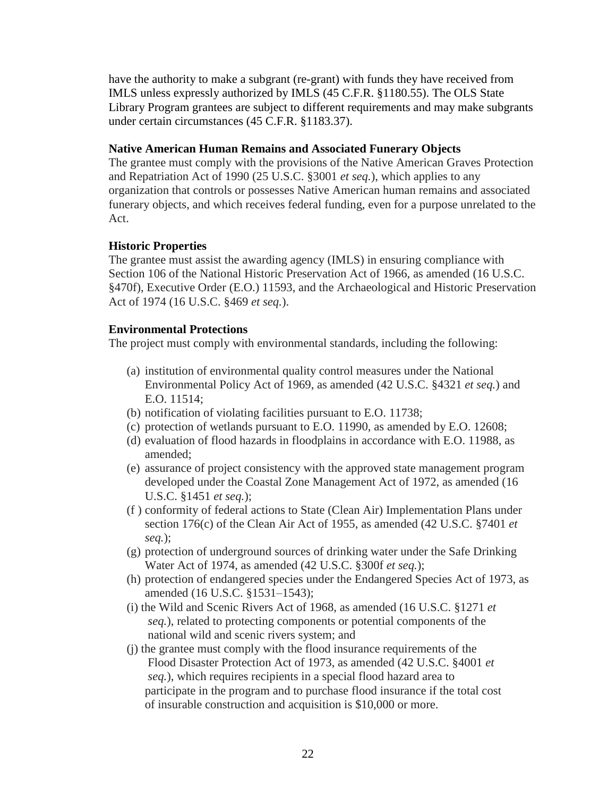have the authority to make a subgrant (re-grant) with funds they have received from IMLS unless expressly authorized by IMLS (45 C.F.R. §1180.55). The OLS State Library Program grantees are subject to different requirements and may make subgrants under certain circumstances (45 C.F.R. §1183.37).

#### **Native American Human Remains and Associated Funerary Objects**

The grantee must comply with the provisions of the Native American Graves Protection and Repatriation Act of 1990 (25 U.S.C. §3001 *et seq.*), which applies to any organization that controls or possesses Native American human remains and associated funerary objects, and which receives federal funding, even for a purpose unrelated to the Act.

#### **Historic Properties**

The grantee must assist the awarding agency (IMLS) in ensuring compliance with Section 106 of the National Historic Preservation Act of 1966, as amended (16 U.S.C. §470f), Executive Order (E.O.) 11593, and the Archaeological and Historic Preservation Act of 1974 (16 U.S.C. §469 *et seq.*).

#### **Environmental Protections**

The project must comply with environmental standards, including the following:

- (a) institution of environmental quality control measures under the National Environmental Policy Act of 1969, as amended (42 U.S.C. §4321 *et seq.*) and E.O. 11514;
- (b) notification of violating facilities pursuant to E.O. 11738;
- (c) protection of wetlands pursuant to E.O. 11990, as amended by E.O. 12608;
- (d) evaluation of flood hazards in floodplains in accordance with E.O. 11988, as amended;
- (e) assurance of project consistency with the approved state management program developed under the Coastal Zone Management Act of 1972, as amended (16 U.S.C. §1451 *et seq.*);
- (f ) conformity of federal actions to State (Clean Air) Implementation Plans under section 176(c) of the Clean Air Act of 1955, as amended (42 U.S.C. §7401 *et seq.*);
- (g) protection of underground sources of drinking water under the Safe Drinking Water Act of 1974, as amended (42 U.S.C. §300f *et seq.*);
- (h) protection of endangered species under the Endangered Species Act of 1973, as amended (16 U.S.C. §1531–1543);
- (i) the Wild and Scenic Rivers Act of 1968, as amended (16 U.S.C. §1271 *et seq.*), related to protecting components or potential components of the national wild and scenic rivers system; and
- (j) the grantee must comply with the flood insurance requirements of the Flood Disaster Protection Act of 1973, as amended (42 U.S.C. §4001 *et seq.*), which requires recipients in a special flood hazard area to participate in the program and to purchase flood insurance if the total cost of insurable construction and acquisition is \$10,000 or more.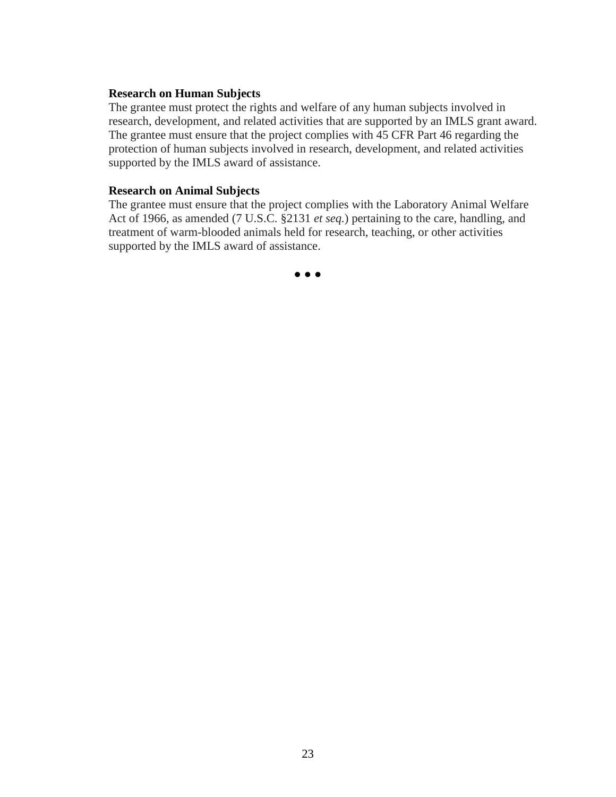#### **Research on Human Subjects**

The grantee must protect the rights and welfare of any human subjects involved in research, development, and related activities that are supported by an IMLS grant award. The grantee must ensure that the project complies with 45 CFR Part 46 regarding the protection of human subjects involved in research, development, and related activities supported by the IMLS award of assistance.

#### **Research on Animal Subjects**

The grantee must ensure that the project complies with the Laboratory Animal Welfare Act of 1966, as amended (7 U.S.C. §2131 *et seq.*) pertaining to the care, handling, and treatment of warm-blooded animals held for research, teaching, or other activities supported by the IMLS award of assistance.

**● ● ●**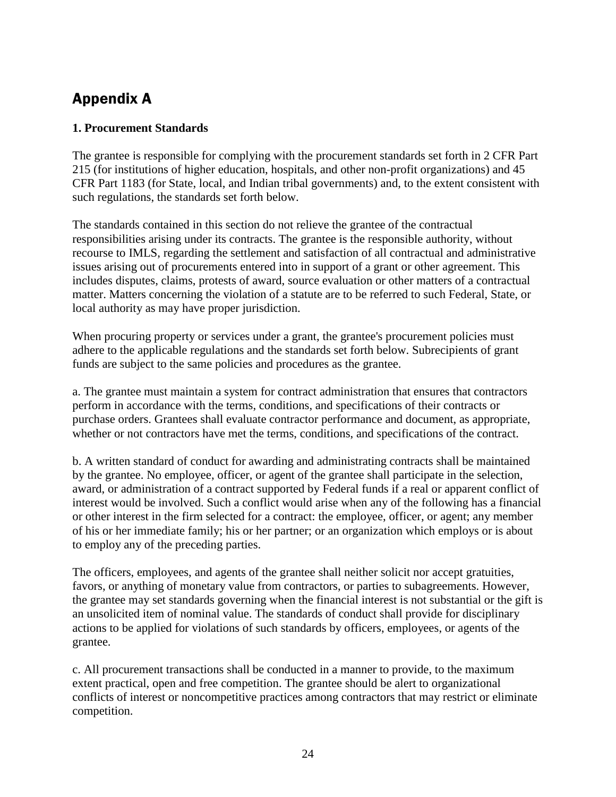### <span id="page-29-0"></span>Appendix A

#### <span id="page-29-1"></span>**1. Procurement Standards**

The grantee is responsible for complying with the procurement standards set forth in 2 CFR Part 215 (for institutions of higher education, hospitals, and other non-profit organizations) and 45 CFR Part 1183 (for State, local, and Indian tribal governments) and, to the extent consistent with such regulations, the standards set forth below.

The standards contained in this section do not relieve the grantee of the contractual responsibilities arising under its contracts. The grantee is the responsible authority, without recourse to IMLS, regarding the settlement and satisfaction of all contractual and administrative issues arising out of procurements entered into in support of a grant or other agreement. This includes disputes, claims, protests of award, source evaluation or other matters of a contractual matter. Matters concerning the violation of a statute are to be referred to such Federal, State, or local authority as may have proper jurisdiction.

When procuring property or services under a grant, the grantee's procurement policies must adhere to the applicable regulations and the standards set forth below. Subrecipients of grant funds are subject to the same policies and procedures as the grantee.

a. The grantee must maintain a system for contract administration that ensures that contractors perform in accordance with the terms, conditions, and specifications of their contracts or purchase orders. Grantees shall evaluate contractor performance and document, as appropriate, whether or not contractors have met the terms, conditions, and specifications of the contract.

b. A written standard of conduct for awarding and administrating contracts shall be maintained by the grantee. No employee, officer, or agent of the grantee shall participate in the selection, award, or administration of a contract supported by Federal funds if a real or apparent conflict of interest would be involved. Such a conflict would arise when any of the following has a financial or other interest in the firm selected for a contract: the employee, officer, or agent; any member of his or her immediate family; his or her partner; or an organization which employs or is about to employ any of the preceding parties.

The officers, employees, and agents of the grantee shall neither solicit nor accept gratuities, favors, or anything of monetary value from contractors, or parties to subagreements. However, the grantee may set standards governing when the financial interest is not substantial or the gift is an unsolicited item of nominal value. The standards of conduct shall provide for disciplinary actions to be applied for violations of such standards by officers, employees, or agents of the grantee.

c. All procurement transactions shall be conducted in a manner to provide, to the maximum extent practical, open and free competition. The grantee should be alert to organizational conflicts of interest or noncompetitive practices among contractors that may restrict or eliminate competition.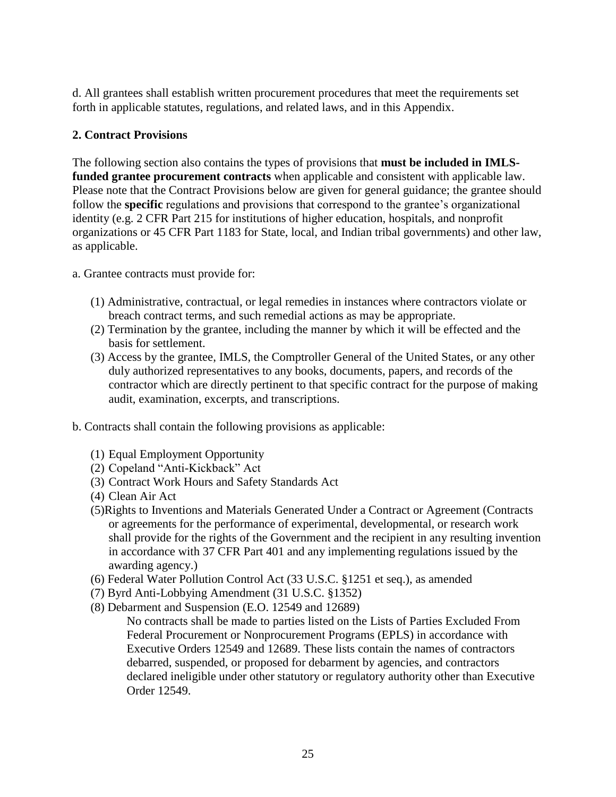d. All grantees shall establish written procurement procedures that meet the requirements set forth in applicable statutes, regulations, and related laws, and in this Appendix.

#### <span id="page-30-0"></span>**2. Contract Provisions**

The following section also contains the types of provisions that **must be included in IMLSfunded grantee procurement contracts** when applicable and consistent with applicable law. Please note that the Contract Provisions below are given for general guidance; the grantee should follow the **specific** regulations and provisions that correspond to the grantee's organizational identity (e.g. 2 CFR Part 215 for institutions of higher education, hospitals, and nonprofit organizations or 45 CFR Part 1183 for State, local, and Indian tribal governments) and other law, as applicable.

a. Grantee contracts must provide for:

- (1) Administrative, contractual, or legal remedies in instances where contractors violate or breach contract terms, and such remedial actions as may be appropriate.
- (2) Termination by the grantee, including the manner by which it will be effected and the basis for settlement.
- (3) Access by the grantee, IMLS, the Comptroller General of the United States, or any other duly authorized representatives to any books, documents, papers, and records of the contractor which are directly pertinent to that specific contract for the purpose of making audit, examination, excerpts, and transcriptions.
- b. Contracts shall contain the following provisions as applicable:
	- (1) Equal Employment Opportunity
	- (2) Copeland "Anti-Kickback" Act
	- (3) Contract Work Hours and Safety Standards Act
	- (4) Clean Air Act
	- (5)Rights to Inventions and Materials Generated Under a Contract or Agreement (Contracts or agreements for the performance of experimental, developmental, or research work shall provide for the rights of the Government and the recipient in any resulting invention in accordance with 37 CFR Part 401 and any implementing regulations issued by the awarding agency.)
	- (6) Federal Water Pollution Control Act (33 U.S.C. §1251 et seq.), as amended
	- (7) Byrd Anti-Lobbying Amendment (31 U.S.C. §1352)
	- (8) Debarment and Suspension (E.O. 12549 and 12689)

No contracts shall be made to parties listed on the Lists of Parties Excluded From Federal Procurement or Nonprocurement Programs (EPLS) in accordance with Executive Orders 12549 and 12689. These lists contain the names of contractors debarred, suspended, or proposed for debarment by agencies, and contractors declared ineligible under other statutory or regulatory authority other than Executive Order 12549.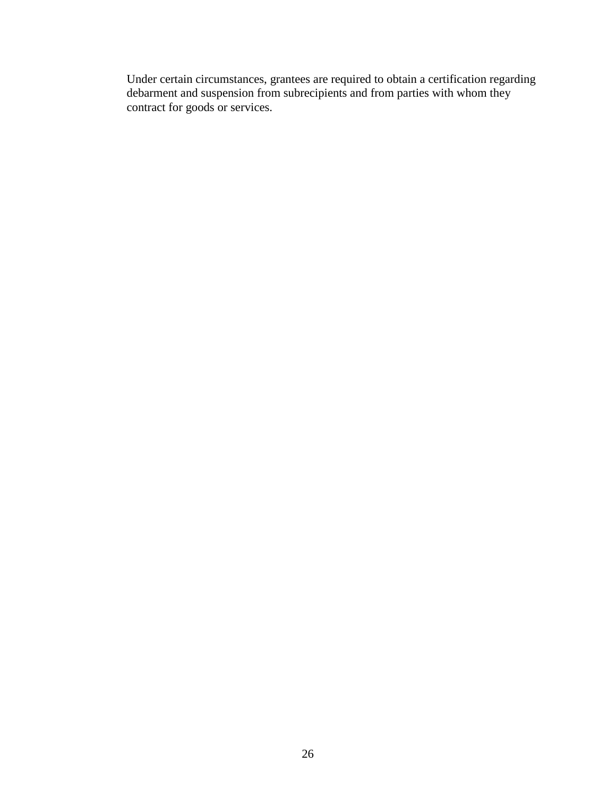Under certain circumstances, grantees are required to obtain a certification regarding debarment and suspension from subrecipients and from parties with whom they contract for goods or services.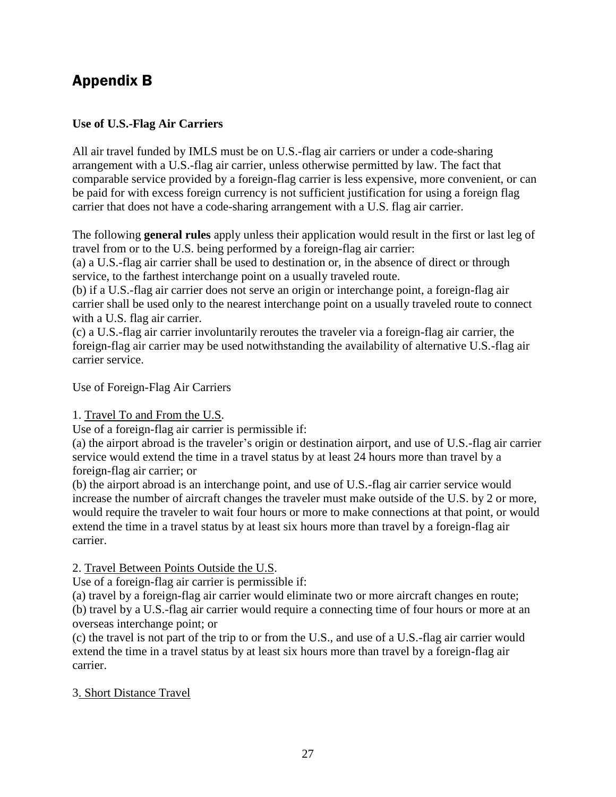### <span id="page-32-0"></span>Appendix B

#### <span id="page-32-1"></span>**Use of U.S.-Flag Air Carriers**

All air travel funded by IMLS must be on U.S.-flag air carriers or under a code-sharing arrangement with a U.S.-flag air carrier, unless otherwise permitted by law. The fact that comparable service provided by a foreign-flag carrier is less expensive, more convenient, or can be paid for with excess foreign currency is not sufficient justification for using a foreign flag carrier that does not have a code-sharing arrangement with a U.S. flag air carrier.

The following **general rules** apply unless their application would result in the first or last leg of travel from or to the U.S. being performed by a foreign-flag air carrier:

(a) a U.S.-flag air carrier shall be used to destination or, in the absence of direct or through service, to the farthest interchange point on a usually traveled route.

(b) if a U.S.-flag air carrier does not serve an origin or interchange point, a foreign-flag air carrier shall be used only to the nearest interchange point on a usually traveled route to connect with a U.S. flag air carrier.

(c) a U.S.-flag air carrier involuntarily reroutes the traveler via a foreign-flag air carrier, the foreign-flag air carrier may be used notwithstanding the availability of alternative U.S.-flag air carrier service.

Use of Foreign-Flag Air Carriers

#### 1. Travel To and From the U.S.

Use of a foreign-flag air carrier is permissible if:

(a) the airport abroad is the traveler's origin or destination airport, and use of U.S.-flag air carrier service would extend the time in a travel status by at least 24 hours more than travel by a foreign-flag air carrier; or

(b) the airport abroad is an interchange point, and use of U.S.-flag air carrier service would increase the number of aircraft changes the traveler must make outside of the U.S. by 2 or more, would require the traveler to wait four hours or more to make connections at that point, or would extend the time in a travel status by at least six hours more than travel by a foreign-flag air carrier.

#### 2. Travel Between Points Outside the U.S.

Use of a foreign-flag air carrier is permissible if:

(a) travel by a foreign-flag air carrier would eliminate two or more aircraft changes en route; (b) travel by a U.S.-flag air carrier would require a connecting time of four hours or more at an overseas interchange point; or

(c) the travel is not part of the trip to or from the U.S., and use of a U.S.-flag air carrier would extend the time in a travel status by at least six hours more than travel by a foreign-flag air carrier.

#### 3. Short Distance Travel